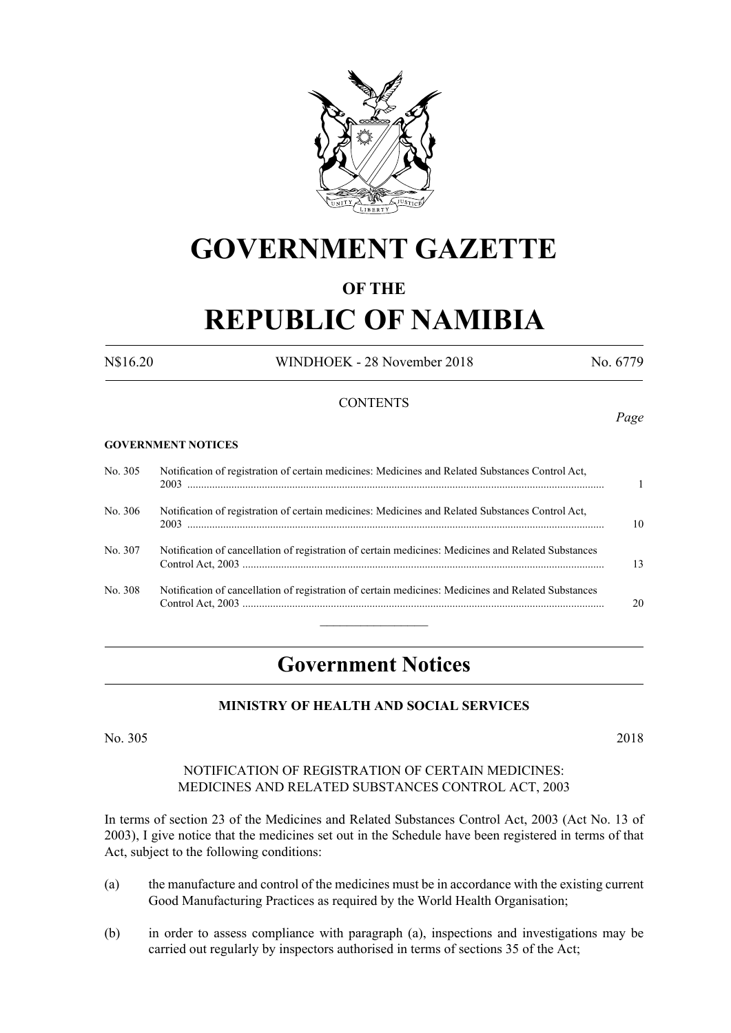

# **GOVERNMENT GAZETTE**

# **OF THE**

# **REPUBLIC OF NAMIBIA**

N\$16.20 WINDHOEK - 28 November 2018 No. 6779

### **CONTENTS**

#### **GOVERNMENT NOTICES**

| No. 305 | Notification of registration of certain medicines: Medicines and Related Substances Control Act,    |    |
|---------|-----------------------------------------------------------------------------------------------------|----|
| No. 306 | Notification of registration of certain medicines: Medicines and Related Substances Control Act,    | 10 |
| No. 307 | Notification of cancellation of registration of certain medicines: Medicines and Related Substances | 13 |
| No. 308 | Notification of cancellation of registration of certain medicines: Medicines and Related Substances | 20 |
|         |                                                                                                     |    |

# **Government Notices**

#### **MINISTRY OF HEALTH AND SOCIAL SERVICES**

No. 305 2018

#### NOTIFICATION OF REGISTRATION OF CERTAIN MEDICINES: MEDICINES AND RELATED SUBSTANCES CONTROL ACT, 2003

In terms of section 23 of the Medicines and Related Substances Control Act, 2003 (Act No. 13 of 2003), I give notice that the medicines set out in the Schedule have been registered in terms of that Act, subject to the following conditions:

- (a) the manufacture and control of the medicines must be in accordance with the existing current Good Manufacturing Practices as required by the World Health Organisation;
- (b) in order to assess compliance with paragraph (a), inspections and investigations may be carried out regularly by inspectors authorised in terms of sections 35 of the Act;

*Page*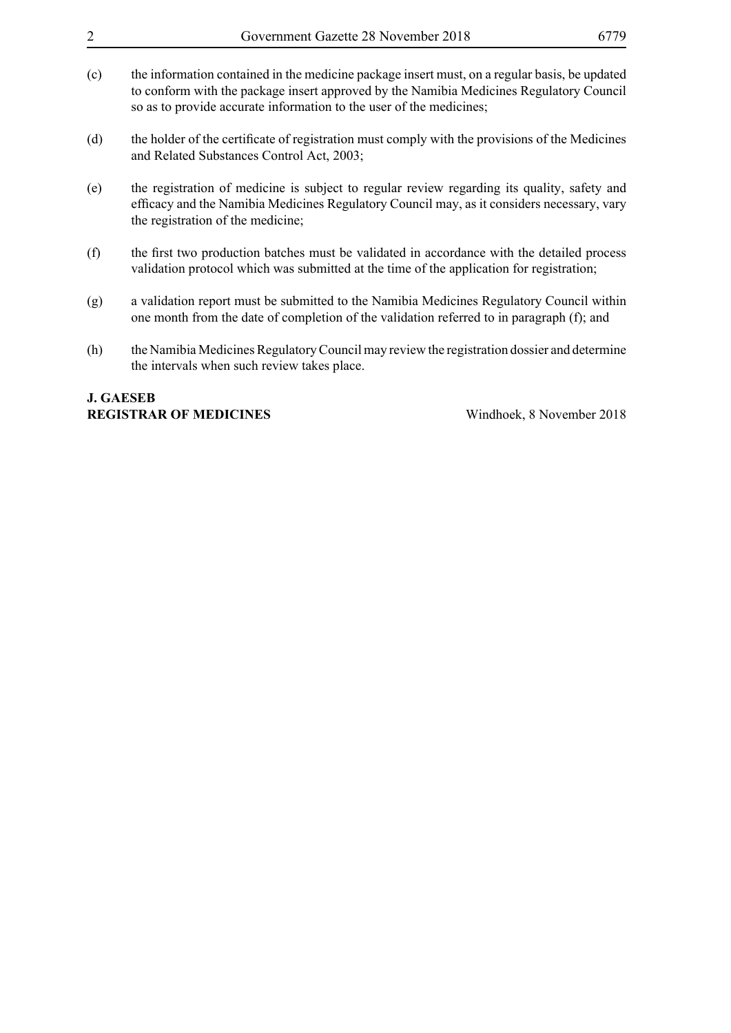| $\overline{2}$ | Government Gazette 28 November 2018                                                                                                                                                                                                                             |                           | 6779 |
|----------------|-----------------------------------------------------------------------------------------------------------------------------------------------------------------------------------------------------------------------------------------------------------------|---------------------------|------|
| (c)            | the information contained in the medicine package insert must, on a regular basis, be updated<br>to conform with the package insert approved by the Namibia Medicines Regulatory Council<br>so as to provide accurate information to the user of the medicines; |                           |      |
| (d)            | the holder of the certificate of registration must comply with the provisions of the Medicines<br>and Related Substances Control Act, 2003;                                                                                                                     |                           |      |
| (e)            | the registration of medicine is subject to regular review regarding its quality, safety and<br>efficacy and the Namibia Medicines Regulatory Council may, as it considers necessary, vary<br>the registration of the medicine;                                  |                           |      |
| (f)            | the first two production batches must be validated in accordance with the detailed process<br>validation protocol which was submitted at the time of the application for registration;                                                                          |                           |      |
| (g)            | a validation report must be submitted to the Namibia Medicines Regulatory Council within<br>one month from the date of completion of the validation referred to in paragraph (f); and                                                                           |                           |      |
| (h)            | the Namibia Medicines Regulatory Council may review the registration dossier and determine<br>the intervals when such review takes place.                                                                                                                       |                           |      |
|                | <b>J. GAESEB</b><br><b>REGISTRAR OF MEDICINES</b>                                                                                                                                                                                                               | Windhoek, 8 November 2018 |      |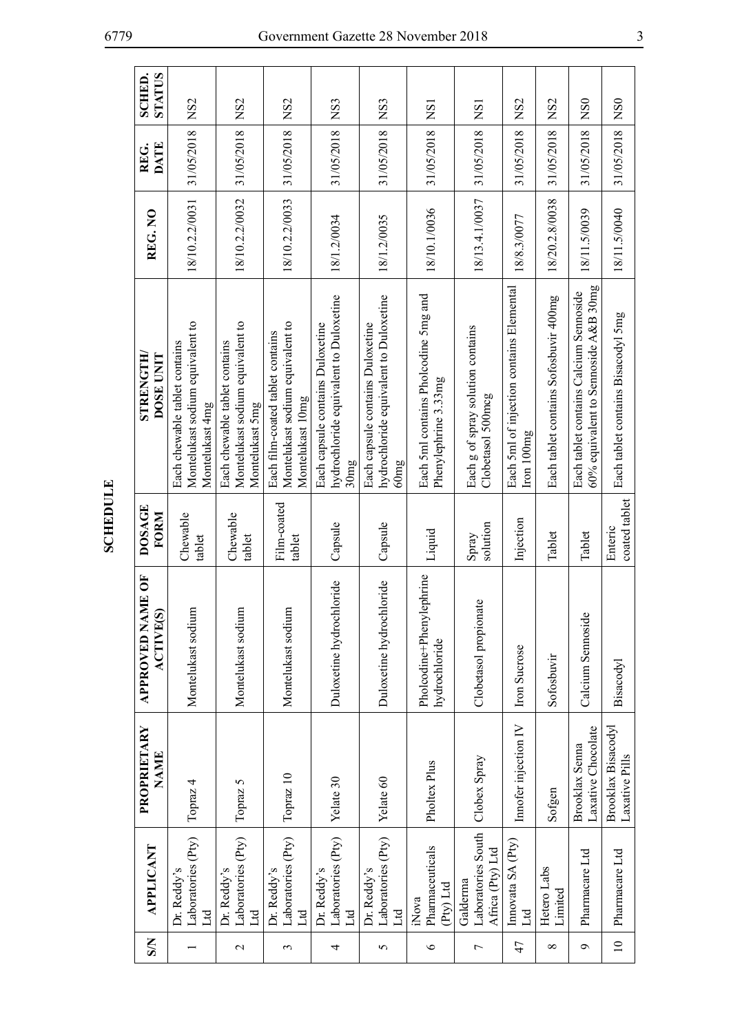| $\mathbf{S}$    | APPLICANT                                          | PROPRIETARY<br><b>NAME</b>                  | ME OF<br><b>ACTIVE(S)</b><br><b>APPROVED NA</b> | <b>DOSAGE</b><br>FORM    | STRENGTH<br><b>DOSE UNIT</b>                                                             | REG.NO         | <b>DATE</b><br>REG. | SCHED.<br>STATUS |
|-----------------|----------------------------------------------------|---------------------------------------------|-------------------------------------------------|--------------------------|------------------------------------------------------------------------------------------|----------------|---------------------|------------------|
|                 | Laboratories (Pty)<br>Dr. Reddy's<br>$\mathbb{E}$  | Topraz 4                                    | Montelukast sodium                              | Chewable<br>tablet       | Montelukast sodium equivalent to<br>Each chewable tablet contains<br>Montelukast 4mg     | 18/10.2.2/0031 | 31/05/2018          | NS <sub>2</sub>  |
| $\mathbf{\sim}$ | Laboratories (Pty)<br>Dr. Reddy's<br>Цd            | Topraz 5                                    | Montelukast sodium                              | Chewable<br>tablet       | Montelukast sodium equivalent to<br>Each chewable tablet contains<br>Montelukast 5mg     | 18/10.2.2/0032 | 31/05/2018 NS2      |                  |
| 3               | Laboratories (Pty)<br>Dr. Reddy's<br>$H_{\rm d}$   | Topraz 10                                   | Montelukast sodium                              | Film-coated<br>tablet    | Montelukast sodium equivalent to<br>Each film-coated tablet contains<br>Montelukast 10mg | 18/10.2.2/0033 | 31/05/2018          | NS <sub>2</sub>  |
| 4               | Laboratories (Pty)<br>Dr. Reddy's<br>Id            | Yelate 30                                   | Duloxetine hydrochloride                        | Capsule                  | hydrochloride equivalent to Duloxetine<br>Each capsule contains Duloxetine<br>30mg       | 18/1.2/0034    | 31/05/2018 NS3      |                  |
| 5               | Laboratories (Pty)<br>Dr. Reddy's<br>Ltd           | Yelate 60                                   | Duloxetine hydrochloride                        | Capsule                  | hydrochloride equivalent to Duloxetine<br>Each capsule contains Duloxetine<br>60mg       | 18/1.2/0035    | 31/05/2018          | NS <sub>3</sub>  |
| $\circ$         | Pharmaceuticals<br>(Pty) Ltd<br>iNova              | Pholtex Plus                                | lephrine<br>Pholcodine+Pheny<br>hydrochloride   | Liquid                   | Each 5ml contains Pholcodine 5mg and<br>Phenylephrine 3.33mg                             | 18/10.1/0036   | 31/05/2018 NS1      |                  |
| 7               | Laboratories South<br>Africa (Pty) Ltd<br>Galderma | Clobex Spray                                | Clobetasol propionate                           | solution<br>Spray        | Each g of spray solution contains<br>Clobetasol 500mcg                                   | 18/13.4.1/0037 | 31/05/2018          | NSI              |
| 47              | Innovata SA (Pty)<br>Ltd                           | Innofer injection IV                        | <b>Iron Sucrose</b>                             | Injection                | Each 5ml of injection contains Elemental<br>Iron 100mg                                   | 18/8.3/0077    | 31/05/2018          | NS <sub>2</sub>  |
| ${}^{\circ}$    | Hetero Labs<br>Limited                             | Sofgen                                      | Sofosbuvir                                      | Tablet                   | Each tablet contains Sofosbuvir 400mg                                                    | 18/20.2.8/0038 | 31/05/2018          | NS <sub>2</sub>  |
| $\sigma$        | Pharmacare Ltd                                     | Laxative Chocolate<br><b>Brooklax Senna</b> | Calcium Sennoside                               | Tablet                   | 60% equivalent to Sennoside A&B $30mg$<br>Each tablet contains Calcium Sennoside         | 18/11.5/0039   | 31/05/2018          | NS <sub>0</sub>  |
| $\overline{10}$ | Pharmacare Ltd                                     | Brooklax Bisacodyl<br>Laxative Pills        | Bisacodyl                                       | coated tablet<br>Enteric | Each tablet contains Bisacodyl 5mg                                                       | 18/11.5/0040   | 31/05/2018   NS0    |                  |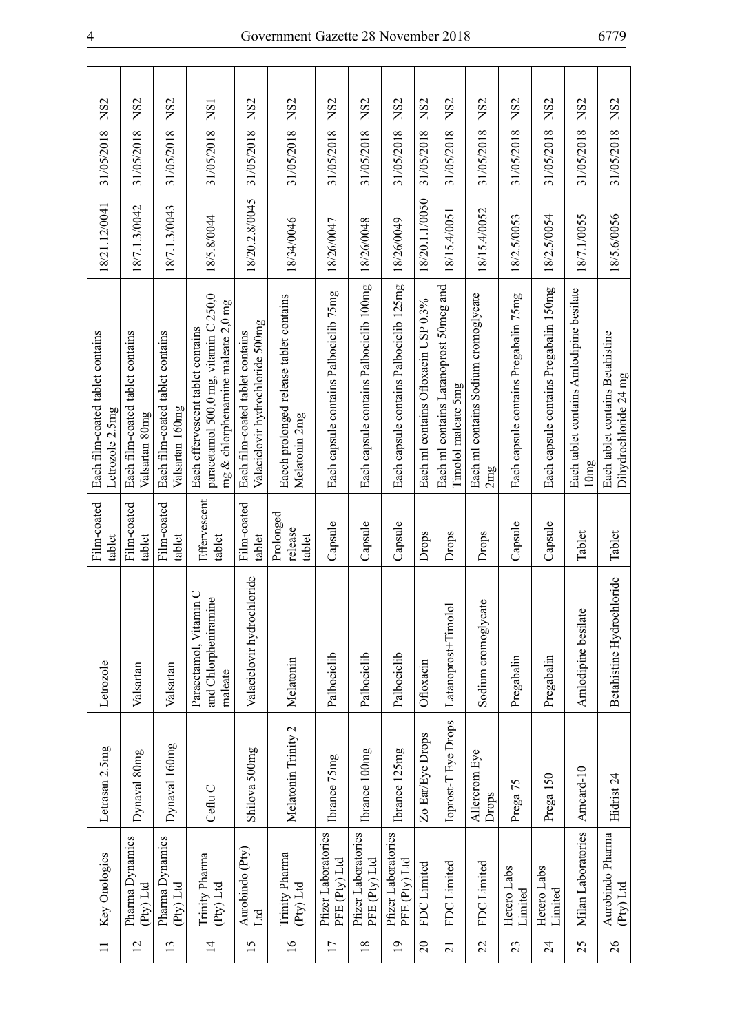| NS <sub>2</sub>                                     | NS <sub>2</sub>                                    | NS <sub>2</sub>                                     | <b>NS1</b>                                                                                                       | NS <sub>2</sub>                                                      |                                                          | NS <sub>2</sub>                        | NS <sub>2</sub>                         | NS <sub>2</sub>                         | NS <sub>2</sub>                     | NS <sub>2</sub>                                               | NS <sub>2</sub>                             | NS <sub>2</sub>                       | NS <sub>2</sub>                        | NS <sub>2</sub>                                  |                                                           |
|-----------------------------------------------------|----------------------------------------------------|-----------------------------------------------------|------------------------------------------------------------------------------------------------------------------|----------------------------------------------------------------------|----------------------------------------------------------|----------------------------------------|-----------------------------------------|-----------------------------------------|-------------------------------------|---------------------------------------------------------------|---------------------------------------------|---------------------------------------|----------------------------------------|--------------------------------------------------|-----------------------------------------------------------|
| 31/05/2018                                          | 31/05/2018                                         | 31/05/2018                                          | 31/05/2018                                                                                                       | 31/05/2018                                                           | 31/05/2018 NS2                                           | 31/05/2018                             | 31/05/2018                              | 31/05/2018                              | 31/05/2018                          | 31/05/2018                                                    | 31/05/2018                                  | 31/05/2018                            | 31/05/2018                             | 31/05/2018                                       | 31/05/2018 NS2                                            |
| 18/21.12/0041                                       | 18/7.1.3/0042                                      | 18/7.1.3/0043                                       | 18/5.8/0044                                                                                                      | 18/20.2.8/0045                                                       | 18/34/0046                                               | 18/26/0047                             | 18/26/0048                              | 18/26/0049                              | 18/20.1.1/0050                      | 18/15.4/0051                                                  | 18/15.4/0052                                | 18/2.5/0053                           | 18/2.5/0054                            | 18/7.1/0055                                      | 18/5.6/0056                                               |
| Each film-coated tablet contains<br>Letrozole 2.5mg | Each film-coated tablet contains<br>Valsartan 80mg | Each film-coated tablet contains<br>Valsartan 160mg | paracetamol 500,0 mg, vitamin C 250,0<br>mg & chlorphenamine maleate 2,0 mg<br>Each effervescent tablet contains | Valaciclovir hydrochloride 500mg<br>Each film-coated tablet contains | Eacch prolonged release tablet contains<br>Melatonin 2mg | Each capsule contains Palbociclib 75mg | Each capsule contains Palbociclib 100mg | Each capsule contains Palbociclib 125mg | Each ml contains Ofloxacin USP 0.3% | Each ml contains Latanoprost 50mcg and<br>Timolol maleate 5mg | Each ml contains Sodium cromoglycate<br>2mg | Each capsule contains Pregabalin 75mg | Each capsule contains Pregabalin 150mg | Each tablet contains Amlodipine besilate<br>10mg | Each tablet contains Betahistine<br>Dihydrochloride 24 mg |
| Film-coated<br>tablet                               | Film-coated<br>tablet                              | Film-coated<br>tablet                               | Effervescent<br>tablet                                                                                           | Film-coated<br>tablet                                                | Prolonged<br>release<br>tablet                           | Capsule                                | Capsule                                 | Capsule                                 | Drops                               | Drops                                                         | Drops                                       | Capsule                               | Capsule                                | Tablet                                           | Tablet                                                    |
| Letrozole                                           | Valsartan                                          | Valsartan                                           | Paracetamol, Vitamin C<br>and Chlorpheniramine<br>maleate                                                        | Valaciclovir hydrochloride                                           | Melatonin                                                | Palbociclib                            | Palbociclib                             | Palbociclib                             | Ofloxacin                           | Latanoprost+Timolol                                           | Sodium cromoglycate                         | Pregabalin                            | Pregabalin                             | $\circ$<br>Amlodipine besilat                    | Betahistine Hydrochloride                                 |
| Letrasan 2.5mg                                      | Dynaval 80mg                                       | Dynaval 160mg                                       | Ceflu <sub>C</sub>                                                                                               | Shilova 500mg                                                        | Melatonin Trinity 2                                      | Ibrance 75mg                           | Ibrance 100mg                           | Ibrance 125mg                           | Zo Ear/Eye Drops                    | Ioprost-T Eye Drops                                           | Allercrom Eye<br>Drops                      | Prega 75                              | Prega 150                              | Amcard-10                                        | Hidrist <sub>24</sub>                                     |
| Key Onologics                                       | Pharma Dynamics<br>(Pty) Ltd                       | Pharma Dynamics<br>$P(y)$ Ltd                       | Trinity Pharma<br>(Pty) Ltd                                                                                      | Aurobindo (Pty)<br>Ltd                                               | Trinity Pharma<br>(Pty) Ltd                              | Pfizer Laboratories<br>PFE (Pty) Ltd   | Pfizer Laboratories<br>PFE (Pty) Ltd    | Pfizer Laboratories<br>PFE (Pty) Ltd    | FDC Limited                         | FDC Limited                                                   | FDC Limited                                 | Hetero Labs<br>Limited                | Hetero Labs<br>Limited                 | Milan Laboratories                               | Aurobindo Pharma<br>(Pty) Ltd                             |
| $\equiv$                                            | $\overline{c}$                                     | 13                                                  | $\overline{1}$                                                                                                   | $\overline{15}$                                                      | $\overline{16}$                                          | $\overline{17}$                        | $\overline{18}$                         | $\overline{19}$                         | 20                                  | $\overline{21}$                                               | 22                                          | 23                                    | 24                                     | 25                                               | 26                                                        |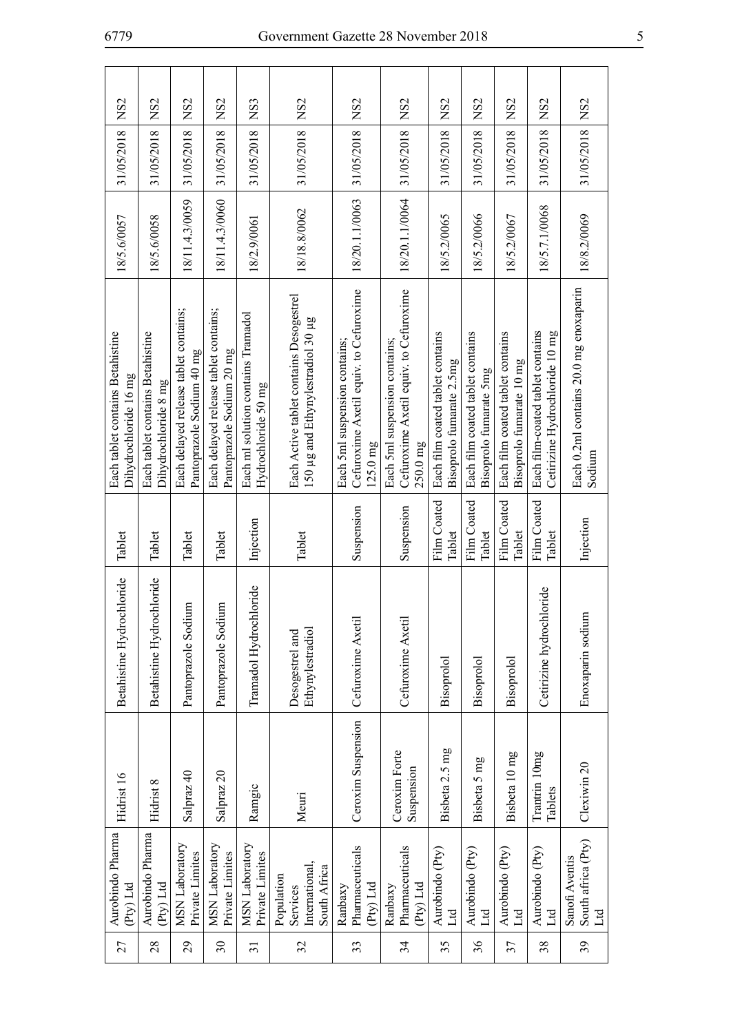| 27                       | Aurobindo Pharma<br>(Pty) Ltd                            | Hidrist 16                  | Betahistine Hydrochloride           | Tablet                | Each tablet contains Betahistine<br>Dihydrochloride 16 mg                             | 18/5.6/0057    | 31/05/2018 | NS <sub>2</sub> |
|--------------------------|----------------------------------------------------------|-----------------------------|-------------------------------------|-----------------------|---------------------------------------------------------------------------------------|----------------|------------|-----------------|
| 28                       | Aurobindo Pharma<br>Pty) Ltd                             | Hidrist 8                   | Betahistine Hydrochloride           | Tablet                | Each tablet contains Betahistine<br>Dihydrochloride 8 mg                              | 18/5.6/0058    | 31/05/2018 | NS <sub>2</sub> |
| 29                       | <b>MSN</b> Laboratory<br>Private Limites                 | Salpraz 40                  | m<br>Pantoprazole Sodi              | Tablet                | Each delayed release tablet contains;<br>Pantoprazole Sodium 40 mg                    | 18/11.4.3/0059 | 31/05/2018 | NS <sub>2</sub> |
| $\overline{\mathcal{E}}$ | <b>MSN</b> Laboratory<br>Private Limites                 | Salpraz 20                  | Pantoprazole Sodium                 | Tablet                | Each delayed release tablet contains;<br>Pantoprazole Sodium 20 mg                    | 18/11.4.3/0060 | 31/05/2018 | NS <sub>2</sub> |
| $\overline{31}$          | <b>MSN</b> Laboratory<br>Private Limites                 | Ramgic                      | Tramadol Hydrochloride              | Injection             | Each ml solution contains Tramadol<br>Hydrochloride 50 mg                             | 18/2.9/0061    | 31/05/2018 | [NS3            |
| 32                       | International,<br>South Africa<br>Population<br>Services | Meuri                       | Ethynylestradiol<br>Desogestrel and | Tablet                | Each Active tablet contains Desogestrel<br>150 µg and Ethynylestradiol 30 µg          | 18/18.8/0062   | 31/05/2018 | NS <sub>2</sub> |
| 33                       | Pharmaceuticals<br>(Pty) Ltd<br>Ranbaxy                  | Ceroxim Suspension          | Cefuroxime Axetil                   | Suspension            | Cefuroxime Axetil equiv. to Cefuroxime<br>Each 5ml suspension contains;<br>$125.0$ mg | 18/20.1.1/0063 | 31/05/2018 | NS <sub>2</sub> |
| 34                       | Pharmaceuticals<br>(Pty) Ltd<br>Ranbaxy                  | Ceroxim Forte<br>Suspension | Cefuroxime Axetil                   | Suspension            | Cefuroxime Axetil equiv. to Cefuroxime<br>Each 5ml suspension contains;<br>$250.0$ mg | 18/20.1.1/0064 | 31/05/2018 | NS <sub>2</sub> |
| 35                       | Aurobindo (Pty)<br>Ltd                                   | Bisbeta 2.5 mg              | Bisoprolol                          | Film Coated<br>Tablet | Each film coated tablet contains<br>Bisoprolo fumarate 2.5mg                          | 18/5.2/0065    | 31/05/2018 | NS <sub>2</sub> |
| 36                       | Aurobindo (Pty)<br>Ltd                                   | Bisbeta 5 mg                | Bisoprolol                          | Film Coated<br>Tablet | Each film coated tablet contains<br>Bisoprolo fumarate 5mg                            | 18/5.2/0066    | 31/05/2018 | NS <sub>2</sub> |
| 37                       | Aurobindo (Pty)<br>Ltd                                   | Bisbeta 10 mg               | Bisoprolol                          | Film Coated<br>Tablet | Each film coated tablet contains<br>Bisoprolo fumarate 10 mg                          | 18/5.2/0067    | 31/05/2018 | NS <sub>2</sub> |
| 38                       | Aurobindo (Pty)<br>Ltd                                   | Trantrin 10mg<br>Tablets    | Cetirizine hydrochloride            | Film Coated<br>Tablet | Each film-coated tablet contains<br>Cetirizine Hydrochloride 10 mg                    | 18/5.7.1/0068  | 31/05/2018 | NS <sub>2</sub> |
| 39                       | South africa (Pty)<br>Sanofi Aventis<br>Ltd              | Clexiwin 20                 | Enoxaparin sodium                   | Injection             | Each 0.2ml contains 20.0 mg enoxaparin<br>Sodium                                      | 18/8.2/0069    | 31/05/2018 | NS <sub>2</sub> |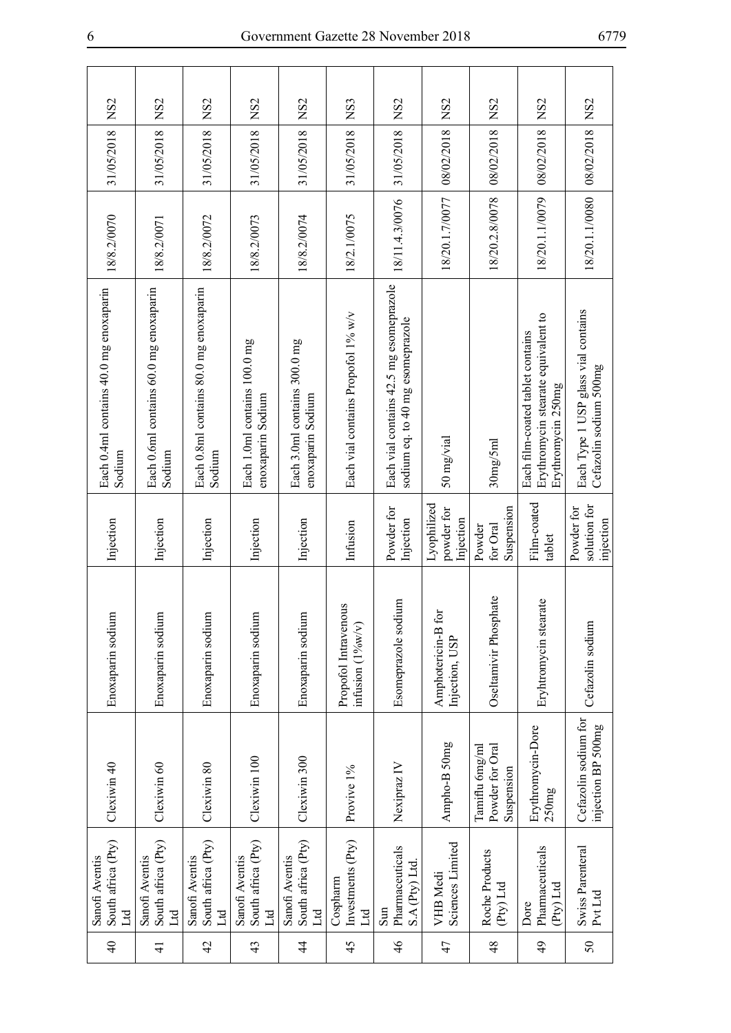| NS <sub>2</sub>                                  | NS <sub>2</sub>                                  | NS <sub>2</sub>                                     | NS <sub>2</sub>                                     | NS <sub>2</sub>                                   | NS3                                         | NS <sub>2</sub>                                                             | NS <sub>2</sub>                        | NS <sub>2</sub>                                 | NS <sub>2</sub>                                                                               | NS <sub>2</sub>                                               |
|--------------------------------------------------|--------------------------------------------------|-----------------------------------------------------|-----------------------------------------------------|---------------------------------------------------|---------------------------------------------|-----------------------------------------------------------------------------|----------------------------------------|-------------------------------------------------|-----------------------------------------------------------------------------------------------|---------------------------------------------------------------|
| 31/05/2018                                       | 31/05/2018                                       | 31/05/2018                                          | 31/05/2018                                          | 31/05/2018                                        | 31/05/2018                                  | 31/05/2018                                                                  | 08/02/2018                             | 08/02/2018                                      | 08/02/2018                                                                                    | 08/02/2018                                                    |
| 18/8.2/0070                                      | 18/8.2/0071                                      | 18/8.2/0072                                         | 18/8.2/0073                                         | 18/8.2/0074                                       | 18/2.1/0075                                 | 18/11.4.3/0076                                                              | 18/20.1.7/0077                         | 18/20.2.8/0078                                  | 18/20.1.1/0079                                                                                | 18/20.1.1/0080                                                |
| Each 0.4ml contains 40.0 mg enoxaparin<br>Sodium | Each 0.6ml contains 60.0 mg enoxaparin<br>Sodium | Each 0.8ml contains 80.0 mg enoxaparin<br>Sodium    | Each 1.0ml contains 100.0 mg<br>enoxaparin Sodium   | Each 3.0ml contains 300.0 mg<br>enoxaparin Sodium | Each vial contains Propofol 1% w/v          | Each vial contains 42.5 mg esomeprazole<br>sodium eq. to 40 mg esomeprazole | 50 mg/vial                             | 30mg/5ml                                        | Erythromycin stearate equivalent to<br>Each film-coated tablet contains<br>Erythromycin 250mg | Each Type 1 USP glass vial contains<br>Cefazolin sodium 500mg |
| Injection                                        | Injection                                        | Injection                                           | Injection                                           | Injection                                         | Infusion                                    | Powder for<br>Injection                                                     | Lyophilized<br>powder for<br>Injection | Suspension<br>for Oral<br>Powder                | Film-coated<br>tablet                                                                         | solution for<br>Powder for<br>injection                       |
| Enoxaparin sodium                                | Enoxaparin sodium                                | Enoxaparin sodium                                   | Enoxaparin sodium                                   | Enoxaparin sodium                                 | Propofol Intravenous<br>infusion $(1\%w/v)$ | Esomeprazole sodium                                                         | Amphotericin-B for<br>Injection, USP   | Oseltamivir Phosphate                           | Eryhtromycin stearate                                                                         | Cefazolin sodium                                              |
| Clexiwin 40                                      | Clexiwin 60                                      | Clexiwin 80                                         | Clexiwin 100                                        | Clexiwin 300                                      | Provive 1%                                  | Nexipraz IV                                                                 | Ampho-B 50mg                           | Tamiflu 6mg/ml<br>Powder for Oral<br>Suspension | Erythromycin-Dore<br>250mg                                                                    | Cefazolin sodium for<br>injection BP 500mg                    |
| South africa (Pty)<br>Sanofi Aventis<br>Ltd      | South africa (Pty)<br>Sanofi Aventis<br>Ltd      | South africa (Pty)<br>Sanofi Aventis<br>$_{\rm Ld}$ | South africa (Pty)<br>Sanofi Aventis<br>$\mathbb H$ | South africa (Pty)<br>Sanofi Aventis<br>Ltd       | Investments $(Pty)$<br>Cospharm<br>Ltd      | Pharmaceuticals<br>S.A (Pty) Ltd.<br>Sum                                    | Sciences Limited<br><b>VHB</b> Medi    | Roche Products<br>(Pty) Ltd                     | Pharmaceuticals<br>(Pty) Ltd<br>Dore                                                          | Swiss Parenteral<br>Pvt Ltd                                   |
| $\Theta$                                         | $\frac{1}{4}$                                    | $\overline{4}$                                      | 43                                                  | 4                                                 | 45                                          | $\frac{4}{6}$                                                               | 47                                     | 48                                              | $\overline{6}$                                                                                | 50                                                            |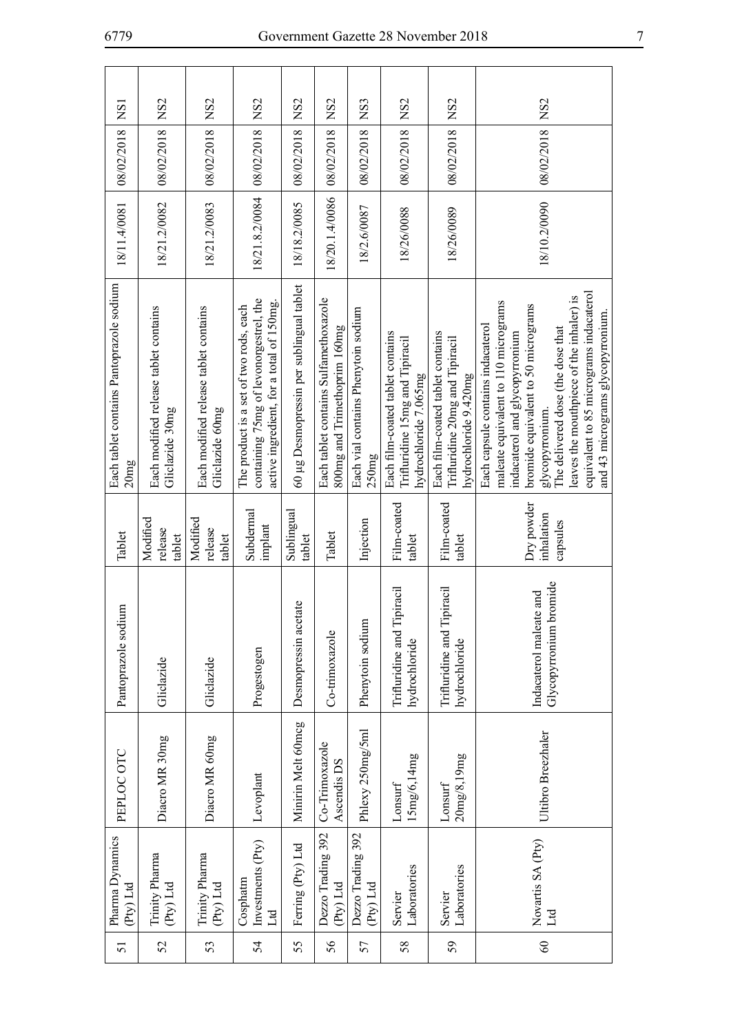| 51     | Pharma Dynamics<br>(Pty) Ltd         | PEPLOC OTC                    | Pantoprazole sodium                               | Tablet                               | Each tablet contains Pantoprazole sodium<br>20mg                                                                                                                                                                                                                                                                                       | 18/11.4/0081   | 08/02/2018 | <b>NS1</b>      |
|--------|--------------------------------------|-------------------------------|---------------------------------------------------|--------------------------------------|----------------------------------------------------------------------------------------------------------------------------------------------------------------------------------------------------------------------------------------------------------------------------------------------------------------------------------------|----------------|------------|-----------------|
| 52     | Trinity Pharma<br>(Pty) Ltd          | Diacro MR 30mg                | Gliclazide                                        | Modified<br>release<br>tablet        | Each modified release tablet contains<br>Gliclazide 30mg                                                                                                                                                                                                                                                                               | 18/21.2/0082   | 08/02/2018 | NS <sub>2</sub> |
| 53     | Trinity Pharma<br>(Pty) Ltd          | Diacro MR 60mg                | Gliclazide                                        | Modified<br>release<br>tablet        | Each modified release tablet contains<br>Gliclazide 60mg                                                                                                                                                                                                                                                                               | 18/21.2/0083   | 08/02/2018 | NS <sub>2</sub> |
| 54     | Investments (Pty)<br>Cosphatm<br>Ltd | Levoplant                     | Progestogen                                       | Subdermal<br>implant                 | containing 75mg of levonorgestrel, the<br>active ingredient, for a total of 150mg.<br>The product is a set of two rods, each                                                                                                                                                                                                           | 18/21.8.2/0084 | 08/02/2018 | NS <sub>2</sub> |
| 55     | Ferring (Pty) Ltd                    | Minirin Melt 60mcg            | Desmopressin acetate                              | Sublingual<br>tablet                 | 60 µg Desmopressin per sublingual tablet                                                                                                                                                                                                                                                                                               | 18/18.2/0085   | 08/02/2018 | NS <sub>2</sub> |
| 56     | Dezzo Trading 392<br>(Pty) Ltd       | Co-Trimoxazole<br>Ascendis DS | Co-trimoxazole                                    | Tablet                               | Each tablet contains Sulfamethoxazole<br>800mg and Trimethoprim 160mg                                                                                                                                                                                                                                                                  | 18/20.1.4/0086 | 08/02/2018 | NS <sub>2</sub> |
| 57     | Dezzo Trading 392<br>(Pty) Ltd       | Phlexy 250mg/5ml              | Phenytoin sodium                                  | Injection                            | Each vial contains Phenytoin sodium<br>250mg                                                                                                                                                                                                                                                                                           | 18/2.6/0087    | 08/02/2018 | NS3             |
| 58     | Laboratories<br>Servier              | 15mg/6,14mg<br>Lonsurf        | Trifluridine and Tipiracil<br>hydrochloride       | Film-coated<br>tablet                | Each film-coated tablet contains<br>Trifluridine 15mg and Tipiracil<br>hydrochloride 7.065mg                                                                                                                                                                                                                                           | 18/26/0088     | 08/02/2018 | NS <sub>2</sub> |
| 59     | Laboratories<br>Servier              | 20mg/8,19mg<br>Lonsurf        | piracil<br>Trifluridine and Tip<br>hydrochloride  | Film-coated<br>tablet                | Each film-coated tablet contains<br>Trifluridine 20mg and Tipiracil<br>hydrochloride 9.420mg                                                                                                                                                                                                                                           | 18/26/0089     | 08/02/2018 | NS <sub>2</sub> |
| $60\,$ | Novartis SA (Pty)<br>Ltd             | Ultibro Breezhaler            | Glycopyrronium bromide<br>Indacaterol maleate and | Dry powder<br>inhalation<br>capsules | equivalent to 85 micrograms indacaterol<br>leaves the mouthpiece of the inhaler) is<br>maleate equivalent to 110 micrograms<br>bromide equivalent to 50 micrograms<br>and 43 micrograms glycopyrronium.<br>Each capsule contains indacaterol<br>The delivered dose (the dose that<br>indacaterol and glycopyrronium<br>glycopyrronium. | 18/10.2/0090   | 08/02/2018 | NS <sub>2</sub> |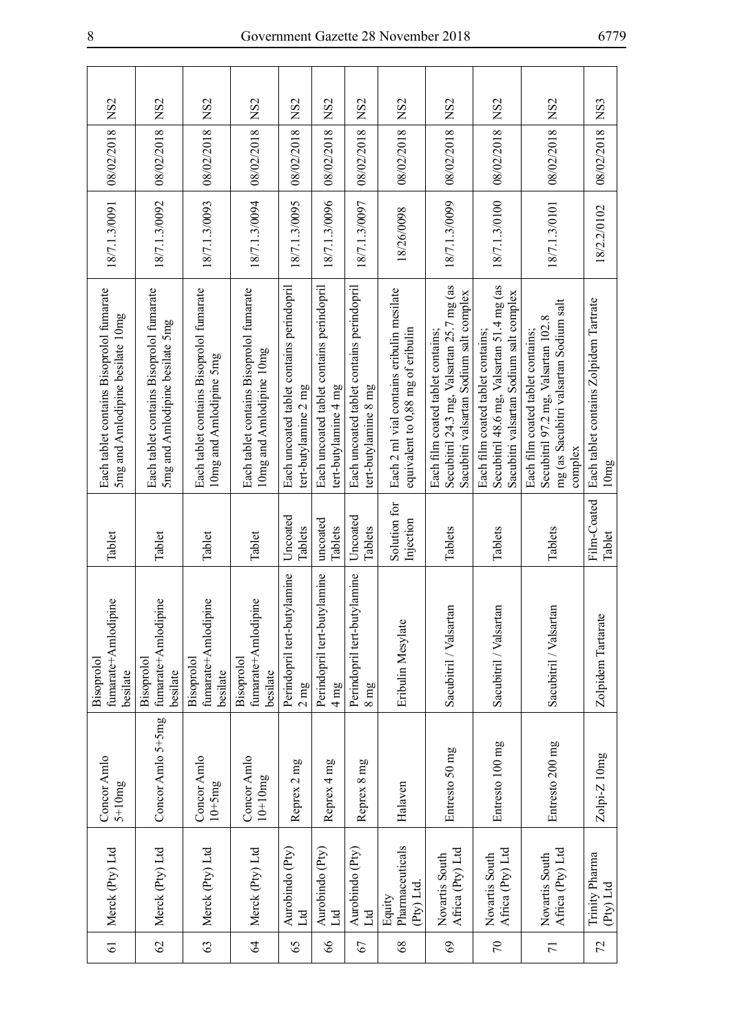| NS <sub>2</sub>                                                              |                                                                             | NS <sub>2</sub>                                                     | NS <sub>2</sub>                                                      | NS <sub>2</sub>                                                   | NS <sub>2</sub>                                                   | NS <sub>2</sub>                                                   |                                                                                | NS <sub>2</sub>                                                                                                           | NS <sub>2</sub>                                                                                                           | NS <sub>2</sub>                                                                                                               | NS3                                            |
|------------------------------------------------------------------------------|-----------------------------------------------------------------------------|---------------------------------------------------------------------|----------------------------------------------------------------------|-------------------------------------------------------------------|-------------------------------------------------------------------|-------------------------------------------------------------------|--------------------------------------------------------------------------------|---------------------------------------------------------------------------------------------------------------------------|---------------------------------------------------------------------------------------------------------------------------|-------------------------------------------------------------------------------------------------------------------------------|------------------------------------------------|
| 08/02/2018                                                                   | 08/02/2018 NS2                                                              | 08/02/2018                                                          | 08/02/2018                                                           | 08/02/2018                                                        | 08/02/2018                                                        | 08/02/2018                                                        | 08/02/2018 NS2                                                                 | 08/02/2018                                                                                                                | 08/02/2018                                                                                                                | 08/02/2018                                                                                                                    | 08/02/2018                                     |
| 18/7.1.3/0091                                                                | 18/7.1.3/0092                                                               | 18/7.1.3/0093                                                       | 18/7.1.3/0094                                                        | 18/7.1.3/0095                                                     | 18/7.1.3/0096                                                     | 18/7.1.3/0097                                                     | 18/26/0098                                                                     | 18/7.1.3/0099                                                                                                             | 18/7.1.3/0100                                                                                                             | 18/7.1.3/0101                                                                                                                 | 18/2.2/0102                                    |
| Each tablet contains Bisoprolol fumarate<br>5mg and Amlodipine besilate 10mg | Each tablet contains Bisoprolol fumarate<br>5mg and Amlodipine besilate 5mg | Each tablet contains Bisoprolol fumarate<br>10mg and Amlodipine 5mg | Each tablet contains Bisoprolol fumarate<br>10mg and Amlodipine 10mg | Each uncoated tablet contains perindopril<br>tert-butylamine 2 mg | Each uncoated tablet contains perindopril<br>tert-butylamine 4 mg | Each uncoated tablet contains perindopril<br>tert-butylamine 8 mg | Each 2 ml vial contains eribulin mesilate<br>equivalent to 0,88 mg of eribulin | Secubitril 24.3 mg, Valsartan 25.7 mg (as<br>Sacubitri valsartan Sodium salt complex<br>Each film coated tablet contains; | Secubitril 48.6 mg, Valsartan 51.4 mg (as<br>Sacubitri valsartan Sodium salt complex<br>Each film coated tablet contains; | mg (as Sacubitri valsartan Sodium salt<br>Secubitril 97.2 mg, Valsartan 102.8<br>Each film coated tablet contains;<br>complex | Each tablet contains Zolpidem Tartrate<br>10mg |
| Tablet                                                                       | Tablet                                                                      | Tablet                                                              | Tablet                                                               | Uncoated<br>Tablets                                               | uncoated<br>Tablets                                               | Uncoated<br>Tablets                                               | Solution for<br>Injection                                                      | Tablets                                                                                                                   | Tablets                                                                                                                   | Tablets                                                                                                                       | Film-Coated<br>Tablet                          |
| fumarate+Amlodipine<br>Bisoprolol<br>besilate                                | fumarate+Amlodipine<br>Bisoprolol<br>besilate                               | fumarate+Amlodipine<br>Bisoprolol<br>besilate                       | fumarate+Amlodipine<br>Bisoprolol<br>besilate                        | Perindopril tert-butylamine<br>$2 \text{ mg}$                     | Perindopril tert-butylamine<br>$4 \text{ mg}$                     | Perindopril tert-butylamine<br>$8 \text{ mg}$                     | Eribulin Mesylate                                                              | Sacubitril / Valsartan                                                                                                    | Sacubitril / Valsartan                                                                                                    | Sacubitril / Valsartan                                                                                                        | Zolpidem Tartarate                             |
| Concor Amlo<br>$5+10mg$                                                      | Concor Amlo 5+5mg                                                           | Concor Amlo<br>$10+5mg$                                             | Concor Amlo<br>$10+10mg$                                             | Reprex 2 mg                                                       | Reprex 4 mg                                                       | Reprex 8 mg                                                       | Halaven                                                                        | Entresto 50 mg                                                                                                            | Entresto 100 mg                                                                                                           | Entresto 200 mg                                                                                                               | $Z$ olpi- $Z$ 10mg                             |
| Merck (Pty) Ltd                                                              | Merck (Pty) Ltd                                                             | Merck (Pty) Ltd                                                     | Merck (Pty) Ltd                                                      | Aurobindo (Pty)<br>$\mathbb{E}$                                   | Aurobindo (Pty)<br>Ld                                             | Aurobindo (Pty)<br>Ltd                                            | Pharmaceuticals<br>(Pty) Ltd.<br>Equity                                        | Africa (Pty) Ltd<br>Novartis South                                                                                        | Africa (Pty) Ltd<br>Novartis South                                                                                        | Africa (Pty) Ltd<br>Novartis South                                                                                            | Trinity Pharma<br>(Pty) Ltd                    |
| $\overline{6}$                                                               | 62                                                                          | 63                                                                  | $\mathcal{Z}$                                                        | 65                                                                | $\delta$                                                          | 67                                                                | 68                                                                             | 69                                                                                                                        | $\mathcal{L}$                                                                                                             | $\overline{7}$                                                                                                                | 72                                             |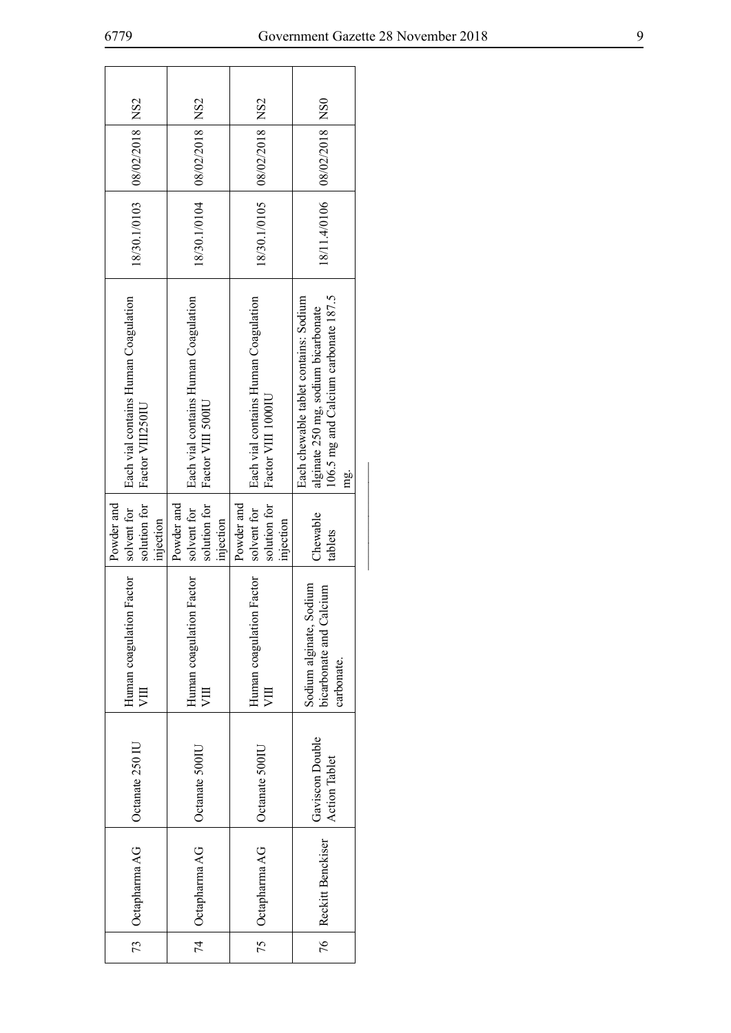| 08/02/2018   NS2                                         | 08/02/2018   NS2                                          | 08/02/2018   NS2                                           |                                                                                                                                  |  |
|----------------------------------------------------------|-----------------------------------------------------------|------------------------------------------------------------|----------------------------------------------------------------------------------------------------------------------------------|--|
| 18/30.1/0103                                             | 18/30.1/0104                                              | 18/30.1/0105                                               | 18/11.4/0106   08/02/2018   NS0                                                                                                  |  |
| Each vial contains Human Coagulation<br>Factor VIII250IU | Each vial contains Human Coagulation<br>Factor VIII 500IU | Each vial contains Human Coagulation<br>Factor VIII 1000IU | 106.5 mg and Calcium carbonate 187.5<br>Each chewable tablet contains: Sodium<br>alginate 250 mg, sodium bicarbonate<br>mg.<br>E |  |
| Powder and<br>solution for<br>solvent for<br>injection   | solution for<br>Powder and<br>solvent for<br>injection    | solution for<br>Powder and<br>solvent for<br>injection     | Chewable<br>tablets                                                                                                              |  |
| Human coagulation Factor<br>VШ                           | Human coagulation Factor<br>VШ                            | Human coagulation Factor<br>VШ                             | Sodium alginate, Sodium<br>bicarbonate and Calcium<br>carbonate.                                                                 |  |
| Octanate 250 IU                                          | Octanate 500IU                                            | Octanate 500IU                                             | Gaviscon Double<br><b>Action Tablet</b>                                                                                          |  |
| 73 Cctapharma AG                                         | 74 Cctapharma AG                                          | 75   Octapharma AG                                         | 76   Reckitt Benckiser                                                                                                           |  |
|                                                          |                                                           |                                                            |                                                                                                                                  |  |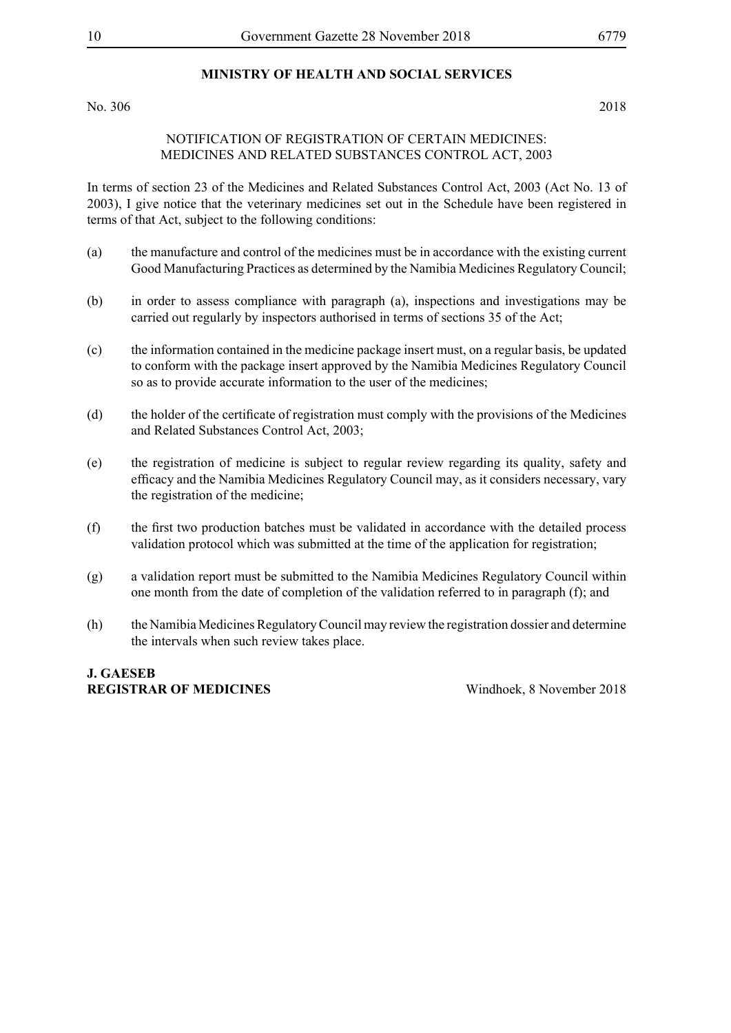# **MINISTRY OF HEALTH AND SOCIAL SERVICES**

No. 306 2018

#### NOTIFICATION OF REGISTRATION OF CERTAIN MEDICINES: MEDICINES AND RELATED SUBSTANCES CONTROL ACT, 2003

In terms of section 23 of the Medicines and Related Substances Control Act, 2003 (Act No. 13 of 2003), I give notice that the veterinary medicines set out in the Schedule have been registered in terms of that Act, subject to the following conditions:

- (a) the manufacture and control of the medicines must be in accordance with the existing current Good Manufacturing Practices as determined by the Namibia Medicines Regulatory Council;
- (b) in order to assess compliance with paragraph (a), inspections and investigations may be carried out regularly by inspectors authorised in terms of sections 35 of the Act;
- (c) the information contained in the medicine package insert must, on a regular basis, be updated to conform with the package insert approved by the Namibia Medicines Regulatory Council so as to provide accurate information to the user of the medicines;
- (d) the holder of the certificate of registration must comply with the provisions of the Medicines and Related Substances Control Act, 2003;
- (e) the registration of medicine is subject to regular review regarding its quality, safety and efficacy and the Namibia Medicines Regulatory Council may, as it considers necessary, vary the registration of the medicine;
- (f) the first two production batches must be validated in accordance with the detailed process validation protocol which was submitted at the time of the application for registration;
- (g) a validation report must be submitted to the Namibia Medicines Regulatory Council within one month from the date of completion of the validation referred to in paragraph (f); and
- (h) the Namibia Medicines Regulatory Council may review the registration dossier and determine the intervals when such review takes place.

**J. Gaeseb Registrar of Medicines** Windhoek, 8 November 2018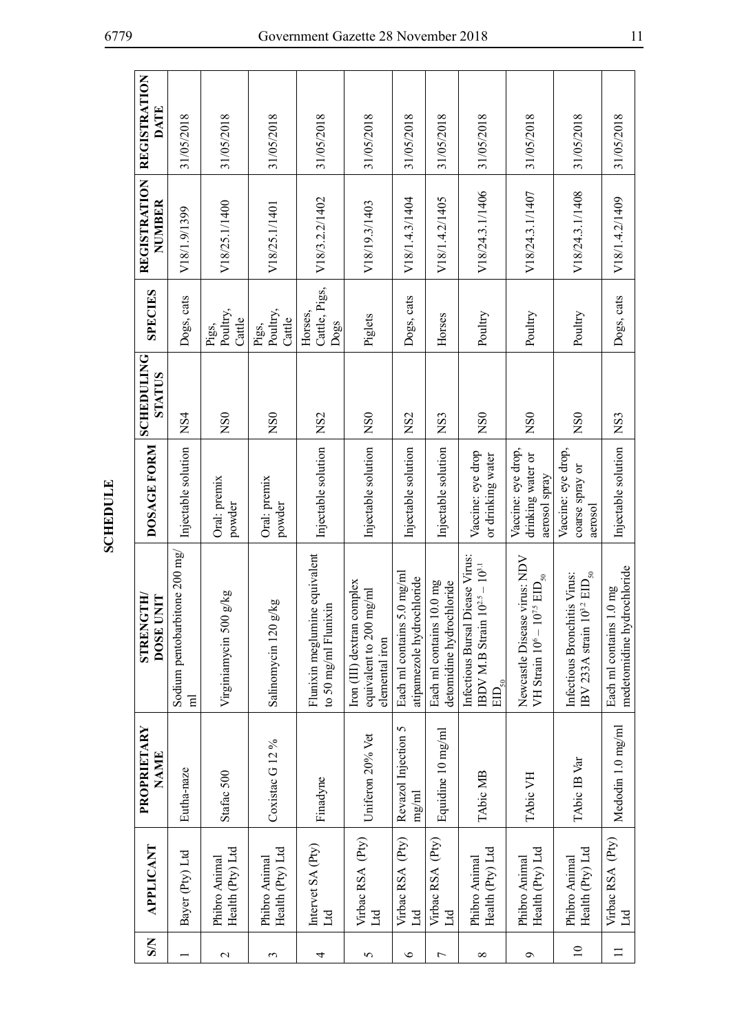| SSN             | APPLICANT                         | PROPRIETARY<br>NAME          | <b>STRENGTH/</b><br>INIT<br><b>DOSE</b>                                                                                    | DOSAGE FORM                                              | <b>SCHEDULING</b><br>STATUS | <b>SPECIES</b>                   | <b>REGISTRATION</b><br>NUMBER | <b>REGISTRATION</b><br>DATE |
|-----------------|-----------------------------------|------------------------------|----------------------------------------------------------------------------------------------------------------------------|----------------------------------------------------------|-----------------------------|----------------------------------|-------------------------------|-----------------------------|
|                 | Bayer (Pty) Ltd                   | Eutha-naze                   | Sodium pentobarbitone 200 mg/<br>$\mathbf{H}$                                                                              | Injectable solution                                      | NS4                         | Dogs, cats                       | V18/1.9/1399                  | 31/05/2018                  |
| $\mathbf 2$     | Health (Pty) Ltd<br>Phibro Animal | Stafac 500                   | g/g<br>Virginiamycin 500                                                                                                   | Oral: premix<br>powder                                   | N <sub>S0</sub>             | Poultry,<br>Cattle<br>Pigs,      | V18/25.1/1400                 | 31/05/2018                  |
| 3               | Health (Pty) Ltd<br>Phibro Animal | Coxistac G <sub>12%</sub>    | Salinomycin 120 g/kg                                                                                                       | Oral: premix<br>powder                                   | NSO                         | Poultry,<br>Cattle<br>Pigs,      | V18/25.1/1401                 | 31/05/2018                  |
| 4               | Intervet SA (Pty)<br>Ltd          | Finadyne                     | Flunixin meglumine equivalent<br>to 50 mg/ml Flunixin                                                                      | Injectable solution NS2                                  |                             | Cattle, Pigs,<br>Horses,<br>Dogs | V18/3.2.2/1402                | 31/05/2018                  |
| 5               | Virbac RSA (Pty)<br>Ħ             | Uniferon 20% Vet             | Iron (III) dextran complex<br>mg/ml<br>equivalent to 200<br>elemental iron                                                 | Injectable solution                                      | NS <sub>0</sub>             | Piglets                          | V18/19.3/1403                 | 31/05/2018                  |
| $\circ$         | Virbac RSA (Pty)<br>Ltd           | Revazol Injection 5<br>mg/ml | Each ml contains 5.0 mg/ml<br>atipamezole hydrochloride                                                                    | Injectable solution                                      | NS <sub>2</sub>             | Dogs, cats                       | V18/1.4.3/1404                | 31/05/2018                  |
| $\overline{ }$  | Virbac RSA (Pty)<br>Ltd           | Equidine 10 mg/ml            | $10.0$ mg<br>detomidine hydrochloride<br>Each ml contains                                                                  | Injectable solution                                      | NS <sub>3</sub>             | Horses                           | V18/1.4.2/1405                | 31/05/2018                  |
| ${}^{\circ}$    | Health (Pty) Ltd<br>Phibro Animal | TAbic MB                     | Diease Virus:<br>$10^{2.5} - 10^{3.1}$<br>Infectious Bursal<br>IBDV M.B Strain<br>$\mathrm{EID}_{\underline{\mathbf{50}}}$ | Vaccine: eye drop<br>or drinking water                   | NSO                         | Poultry                          | V18/24.3.1/1406               | 31/05/2018                  |
| ٩               | Health (Pty) Ltd<br>Phibro Animal | TAbic VH                     | Newcastle Disease virus: NDV<br>VH Strain $10^6-10^{7.5}\,\mathrm{EID}_{50}$                                               | Vaccine: eye drop,<br>drinking water or<br>aerosol spray | N <sub>S0</sub>             | Poultry                          | V18/24.3.1/1407               | 31/05/2018                  |
| $\overline{10}$ | Health (Pty) Ltd<br>Phibro Animal | TAbic IB Var                 | $10^{3.2}\,\mathrm{ED}_{\rm 50}$<br>Infectious Bronchitis Virus:<br>IBV 233A strain 1                                      | Vaccine: eye drop,<br>coarse spray or<br>aerosol         | N <sub>S0</sub>             | Poultry                          | V18/24.3.1/1408               | 31/05/2018                  |
|                 | Virbac RSA (Pty)<br>$_{\rm Ld}$   | Medodin 1.0 mg/ml            | medetomidine hydrochloride<br>1.0 <sub>mg</sub><br>Each ml contains                                                        | Injectable solution                                      | NS <sub>3</sub>             | Dogs, cats                       | V18/1.4.2/1409                | 31/05/2018                  |

**SCHEDULE SCHEDULE**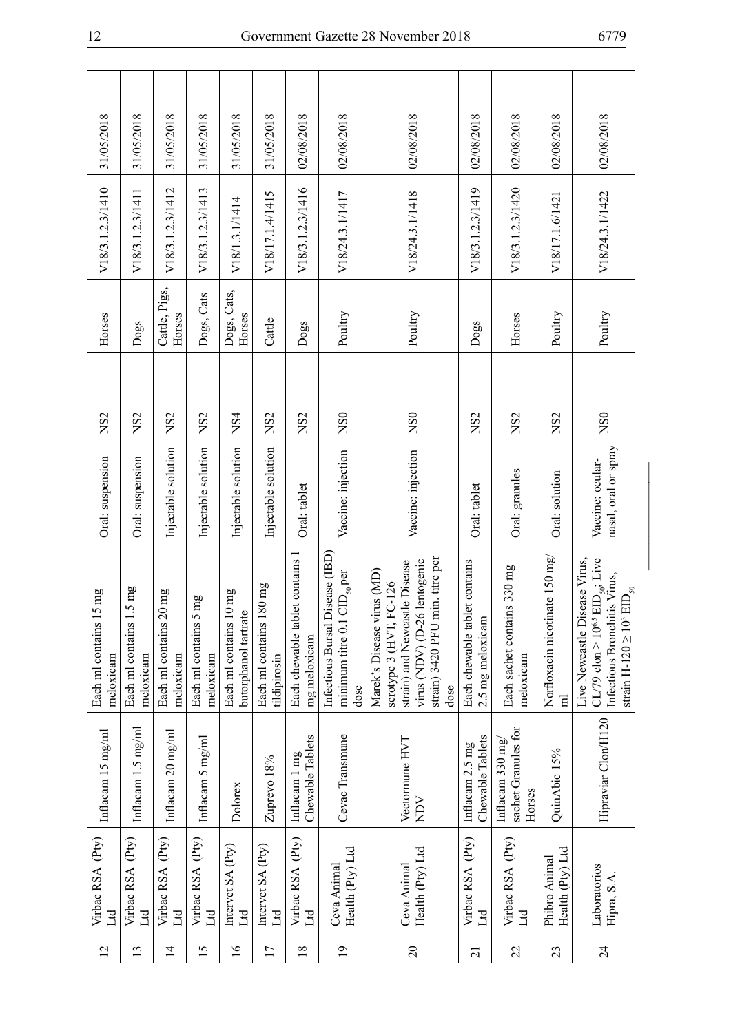| $\overline{c}$  | Virbac RSA (Pty)<br>Ed            | Inflacam 15 mg/ml                                   | $15 \text{ mg}$<br>Each ml contains<br>meloxicam                                                                                                                        | Oral: suspension                         | NS <sub>2</sub>  | Horses                  | V18/3.1.2.3/1410 | 31/05/2018 |
|-----------------|-----------------------------------|-----------------------------------------------------|-------------------------------------------------------------------------------------------------------------------------------------------------------------------------|------------------------------------------|------------------|-------------------------|------------------|------------|
| $\frac{13}{2}$  | Virbac RSA (Pty)<br>Id            | Inflacam 1.5 mg/ml                                  | $1.5 \text{ mg}$<br>Each ml contains<br>meloxicam                                                                                                                       | Oral: suspension                         | NS <sub>2</sub>  | Dogs                    | V18/3.1.2.3/1411 | 31/05/2018 |
| $\overline{1}$  | Virbac RSA (Pty)<br>Ld            | Inflacam 20 mg/ml                                   | $20 \text{ mg}$<br>Each ml contains<br>meloxicam                                                                                                                        | Injectable solution                      | NS <sub>2</sub>  | Cattle, Pigs,<br>Horses | V18/3.1.2.3/1412 | 31/05/2018 |
| 15              | Virbac RSA (Pty)<br>Ltd           | Inflacam 5 mg/ml                                    | 5 <sub>mg</sub><br>Each ml contains<br>meloxicam                                                                                                                        | Injectable solution                      | NS <sub>2</sub>  | Dogs, Cats              | V18/3.1.2.3/1413 | 31/05/2018 |
| $\geq$          | Intervet SA (Pty)<br>Ld           | Dolorex                                             | $10 \ \mathrm{mg}$<br>butorphanol tartrate<br>Each ml contains                                                                                                          | Injectable solution                      | NS4              | Dogs, Cats,<br>Horses   | V18/1.3.1/1414   | 31/05/2018 |
| 17              | Intervet SA (Pty)<br>Ltd          | Zuprevo 18%                                         | $180 \text{ mg}$<br>Each ml contains<br>tildipirosin                                                                                                                    | Injectable solution                      | NS <sub>2</sub>  | Cattle                  | V18/17.1.4/1415  | 31/05/2018 |
| 18              | Virbac RSA (Pty)<br>Ltd           | Chewable Tablets<br>Inflacam 1 mg                   | blet contains 1<br>Each chewable ta<br>mg meloxicam                                                                                                                     | Oral: tablet                             | NS <sub>2</sub>  | Dogs                    | V18/3.1.2.3/1416 | 02/08/2018 |
| $\overline{19}$ | Health (Pty) Ltd<br>Ceva Animal   | Cevac Transmune                                     | Disease (IBD)<br>$\mathrm{CID}_{\mathrm{50}}$ per<br>minimum titre 0.1<br>Infectious Bursal<br>dose                                                                     | Vaccine: injection                       | NS0              | Poultry                 | V18/24.3.1/1417  | 02/08/2018 |
| $\Omega$        | Health (Pty) Ltd<br>Ceva Animal   | Vectormune HVT<br>NUN                               | min. titre per<br>virus (NDV) (D-26 lentogenic<br>strain) and Newcastle Disease<br>Marek's Disease virus (MD)<br>FC-126<br>serotype 3 (HVT,<br>strain) 3420 PFU<br>dose | Vaccine: injection                       | $\overline{NS0}$ | Poultry                 | V18/24.3.1/1418  | 02/08/2018 |
| $\overline{c}$  | Virbac RSA (Pty)<br>Ltd           | Chewable Tablets<br>Inflacam 2.5 mg                 | Each chewable tablet contains<br>2.5 mg meloxicam                                                                                                                       | Oral: tablet                             | NS <sub>2</sub>  | Dogs                    | V18/3.1.2.3/1419 | 02/08/2018 |
| 22              | Virbac RSA (Pty)<br>Цd            | sachet Granules for<br>Inflacam $330$ mg/<br>Horses | Each sachet contains 330 mg<br>meloxicam                                                                                                                                | Oral: granules                           | NS2              | Horses                  | V18/3.1.2.3/1420 | 02/08/2018 |
| 23              | Health (Pty) Ltd<br>Phibro Animal | QuinAbic 15%                                        | Norfloxacin nicotinate 150 mg/<br>$\overline{E}$                                                                                                                        | Oral: solution                           | N <sub>S2</sub>  | Poultry                 | V18/17.1.6/1421  | 02/08/2018 |
| $\overline{24}$ | Laboratorios<br>Hipra, S.A        | Hipraviar Clon/H120                                 | CL/79 clon $\geq 10^{6.5}$ EID <sub>50</sub> ; Live<br>Live Newcastle Disease Virus,<br>Infectious Bronchitis Virus,<br>strain H-120 $\geq 10^3$ $\rm{EID}_{50}$        | nasal, oral or spray<br>Vaccine: ocular- | NS <sub>0</sub>  | Poultry                 | V18/24.3.1/1422  | 02/08/2018 |

\_\_\_\_\_\_\_\_\_\_\_\_\_\_\_\_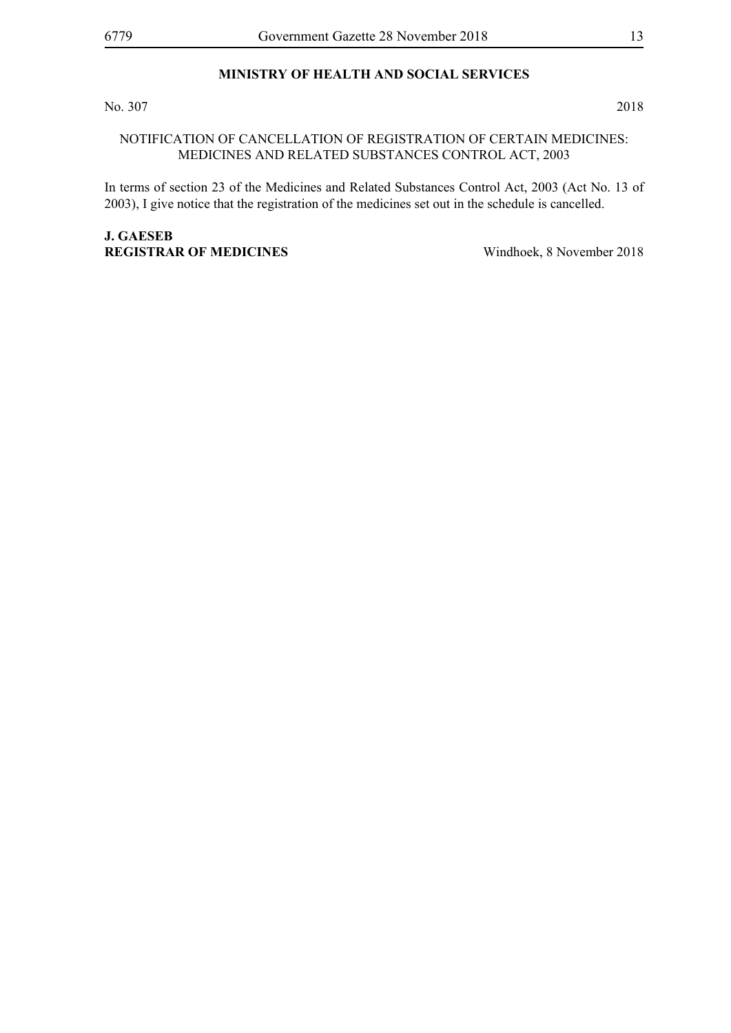### **MINISTRY OF HEALTH AND SOCIAL SERVICES**

No. 307 2018

#### NOTIFICATION OF CANCELLATION OF REGISTRATION OF CERTAIN MEDICINES: MEDICINES AND RELATED SUBSTANCES CONTROL ACT, 2003

In terms of section 23 of the Medicines and Related Substances Control Act, 2003 (Act No. 13 of 2003), I give notice that the registration of the medicines set out in the schedule is cancelled.

### **J. Gaeseb Registrar of Medicines** Windhoek, 8 November 2018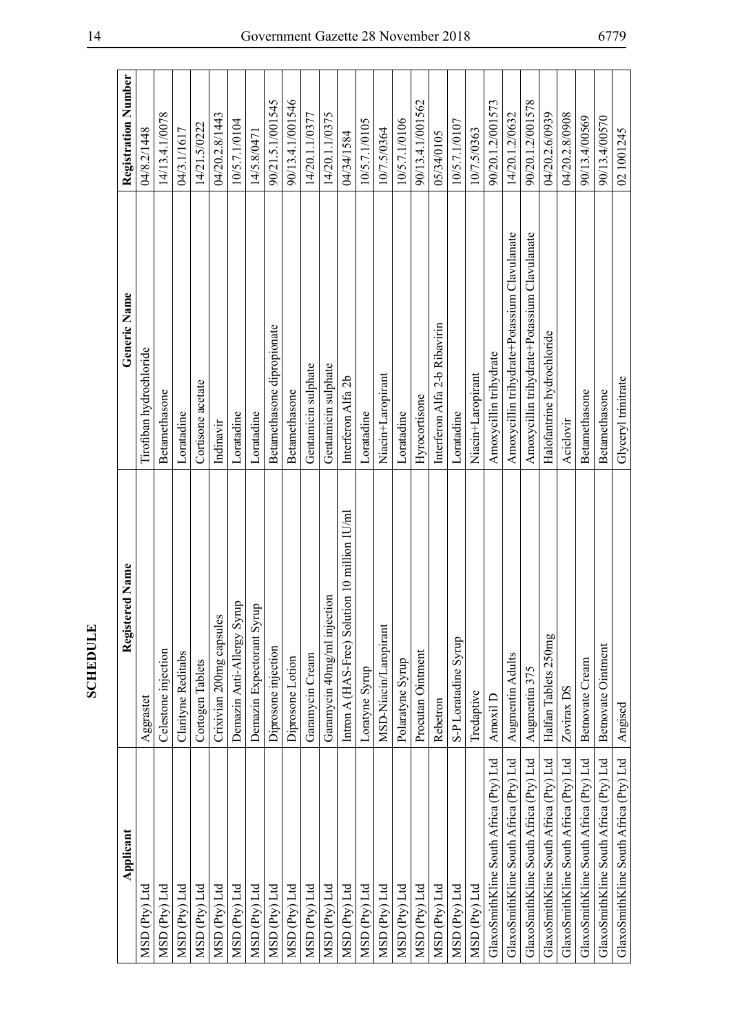| Applicant                              | Registered Name                               | Generic Name                                 | Registration Number |
|----------------------------------------|-----------------------------------------------|----------------------------------------------|---------------------|
| MSD (Pty) Ltd                          | Aggrastet                                     | Tirofiban hydrochloride                      | 04/8.2/1448         |
| MSD (Pty) Ltd                          | Celestone injection                           | Betamethasone                                | 14/13.4.1/0078      |
| MSD (Pty) Ltd                          | Clarityne Reditabs                            | Loratadine                                   | 04/3.1/1617         |
| MSD (Pty) Ltd                          | Cortogen Tablets                              | Cortisone acetate                            | 14/21.5/0222        |
| MSD (Pty) Ltd                          | Crixivian 200mg capsules                      | Indinavir                                    | 04/20.2.8/1443      |
| MSD (Pty) Ltd                          | Demazin Anti-Allergy Syrup                    | Loratadine                                   | 10/5.7.1/0104       |
| MSD (Pty) Ltd                          | Demazin Expectorant Syrup                     | Loratadine                                   | 14/5.8/0471         |
| MSD (Pty) Ltd                          | Diprosone injection                           | Betamethasone dipropionate                   | 90/21.5.1/001545    |
| MSD (Pty) Ltd                          | Diprosone Lotion                              | Betamethasone                                | 90/13.4.1/001546    |
| MSD (Pty) Ltd                          | Garamycin Cream                               | Gentamicin sulphate                          | 14/20.1.1/0377      |
| MSD (Pty) Ltd                          | $\mathbf{g}$<br>Garamycin 40mg/ml injecti     | Gentamicin sulphate                          | 14/20.1.1/0375      |
| MSD (Pty) Ltd                          | Intron A (HAS-Free) Solution 10 million IU/ml | Interferon Alfa 2b                           | 04/34/1584          |
| MSD (Pty) Ltd                          | Loratyne Syrup                                | Loratadine                                   | 10/5.7.1/0105       |
| MSD (Pty) Ltd                          | MSD-Niacin/Laropirant                         | Niacin+Laropirant                            | 10/7.5/0364         |
| MSD (Pty) Ltd                          | Polaratyne Syrup                              | Loratadine                                   | 10/5.7.1/0106       |
| MSD (Pty) Ltd                          | Procutan Ointment                             | Hyrocortisone                                | 90/13.4.1/001562    |
| MSD (Pty) Ltd                          | Rebetron                                      | Interferon Alfa 2-b Ribavirin                | 05/34/0105          |
| MSD (Pty) Ltd                          | S-P Loratadine Syrup                          | Loratadine                                   | 10/5.7.1/0107       |
| MSD (Pty) Ltd                          | Tredaptive                                    | Niacin+Laropirant                            | 10/7.5/0363         |
| GlaxoSmithKline South Africa (Pty) Ltd | Amoxil D                                      | Amoxycillin trihydrate                       | 90/20.1.2/001573    |
| GlaxoSmithKline South Africa (Pty) Ltd | Augmentin Adults                              | Amoxycillin trihydrate+Potassium Clavulanate | 14/20.1.2/0632      |
| GlaxoSmithKline South Africa (Pty) Ltd | Augmentin 375                                 | Amoxycillin trihydrate+Potassium Clavulanate | 90/20.1.2/001578    |
| GlaxoSmithKline South Africa (Pty) Ltd | Halfan Tablets 250mg                          | Halofantrine hydrochloride                   | 04/20.2.6/0939      |
| GlaxoSmithKline South Africa (Pty) Ltd | Zovirax DS                                    | Aciclovir                                    | 04/20.2.8/0908      |
| GlaxoSmithKline South Africa (Pty) Ltd | Betnovate Cream                               | Betamethasone                                | 90/13.4/00569       |
| GlaxoSmithKline South Africa (Pty) Ltd | Betnovate Ointment                            | Betamethasone                                | 90/13.4/00570       |
| GlaxoSmithKline South Africa (Pty) Ltd | Angised                                       | Glyceryl trinitrate                          | 02 1001245          |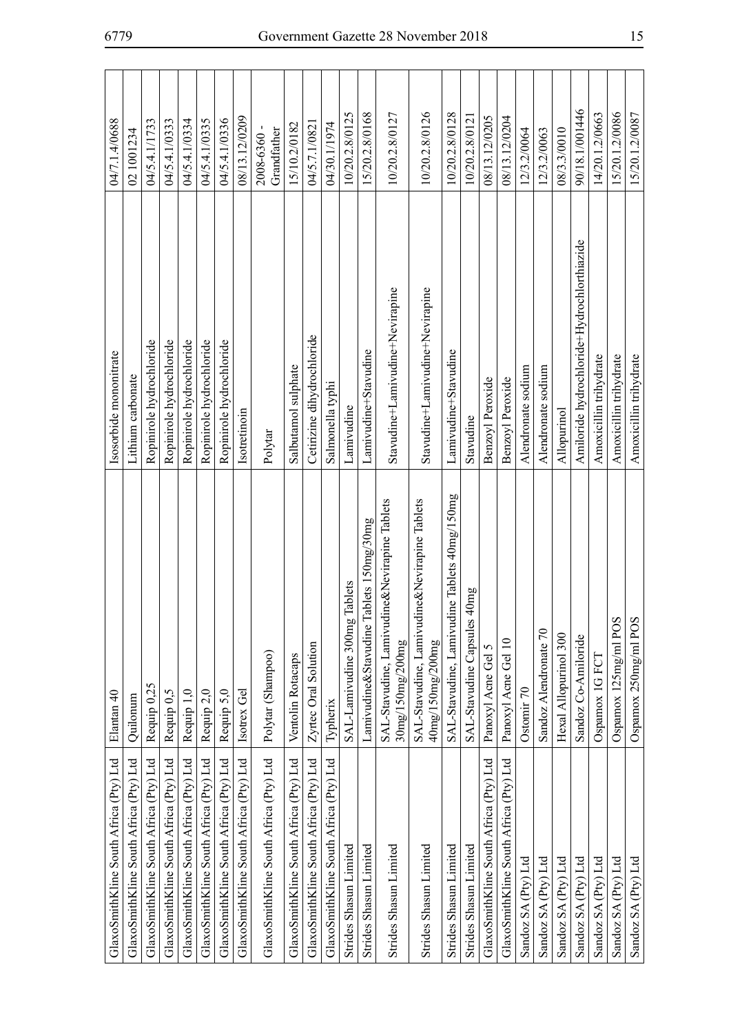| Elantan 40                                                       | Isosorbide mononitrate                     | 04/7.1.4/0688             |
|------------------------------------------------------------------|--------------------------------------------|---------------------------|
| Quilonum                                                         | Lithium carbonate                          | 02 1001234                |
| Requip 0,25                                                      | Ropinirole hydrochloride                   | 04/5.4.1/1733             |
| Requip <sub>0,5</sub>                                            | Ropinirole hydrochloride                   | 04/5.4.1/0333             |
| Requip 1,0                                                       | Ropinirole hydrochloride                   | 04/5.4.1/0334             |
| Requip 2,0                                                       | Ropinirole hydrochloride                   | 04/5.4.1/0335             |
| Requip 5,0                                                       | Ropinirole hydrochloride                   | 04/5.4.1/0336             |
| Isotrex Gel                                                      | Isotretinoin                               | 08/13.12/0209             |
| Polytar (Shampoo)                                                | Polytar                                    | Grandfather<br>2008-6360- |
| Ventolin Rotacaps                                                | Salbutamol sulphate                        | 15/10.2/0182              |
| Zyrtec Oral Solution                                             | Cetirizine dihydrochloride                 | 04/5.7.1/0821             |
| Typherix                                                         | Salmonella typhi                           | 04/30.1/1974              |
| Tablets<br>SAL-Lamivudine 300mg                                  | Lamivudine                                 | 10/20.2.8/0125            |
| ablets 150mg/30mg<br>Lamivudine&Stavudine 1                      | Lamivudine+Stavudine                       | 15/20.2.8/0168            |
| SAL-Stavudine, Lamivudine&Nevirapine Tablets<br>30mg/150mg/200mg | Stavudine+Lamivudine+Nevirapine            | 10/20.2.8/0127            |
| SAL-Stavudine, Lamivudine&Nevirapine Tablets<br>40mg/150mg/200mg | Stavudine+Lamivudine+Nevirapine            | 10/20.2.8/0126            |
| SAL-Stavudine, Lamivudine Tablets 40mg/150mg                     | Lamivudine+Stavudine                       | 10/20.2.8/0128            |
| 40mg<br>SAL-Stavudine Capsules                                   | Stavudine                                  | 10/20.2.8/0121            |
| Panoxyl Acne Gel 5                                               | Benzoyl Peroxide                           | 08/13.12/0205             |
| Panoxyl Acne Gel 10                                              | Benzoyl Peroxide                           | 08/13.12/0204             |
| Ostomir 70                                                       | Alendronate sodium                         | 12/3.2/0064               |
| Sandoz Alendronate 70                                            | Alendronate sodium                         | 12/3.2/0063               |
| Hexal Allopurinol 300                                            | Allopurinol                                | 08/3.3/0010               |
| Sandoz Co-Amiloride                                              | Amiloride hydrochloride+Hydrochlorthiazide | 90/18.1/001446            |
| Ospamox 1G FCT                                                   | Amoxicillin trihydrate                     | 14/20.1.2/0663            |
| Ospamox 125mg/ml POS                                             | Amoxicillin trihydrate                     | 15/20.1.2/0086            |
| Ospamox 250mg/ml POS                                             | Amoxicillin trihydrate                     | 15/20.1.2/0087            |
|                                                                  |                                            |                           |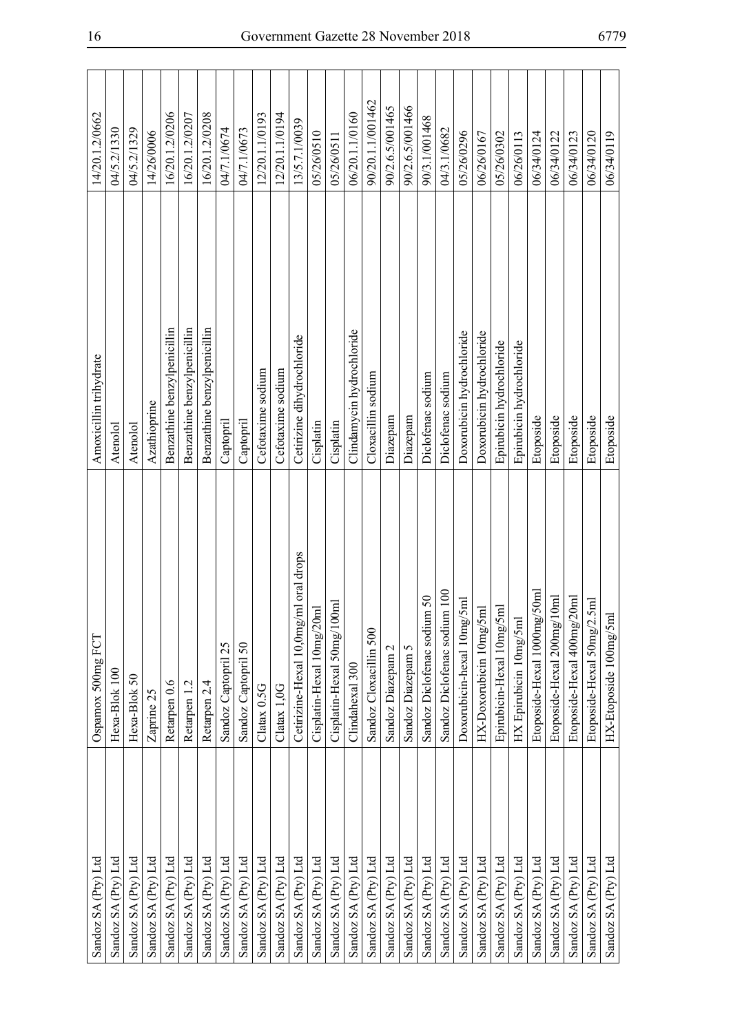| Sandoz SA (Pty) Ltd | Ospamox 500mg FCT                                 | Amoxicillin trihydrate      | 14/20.1.2/0662   |
|---------------------|---------------------------------------------------|-----------------------------|------------------|
| Sandoz SA (Pty) Ltd | Hexa-Blok 100                                     | Atenolol                    | 04/5.2/1330      |
| Sandoz SA (Pty) Ltd | Hexa-Blok 50                                      | Atenolol                    | 04/5.2/1329      |
| Sandoz SA (Pty) Ltd | Zaprine 25                                        | Azathioprine                | 14/26/0006       |
| Sandoz SA (Pty) Ltd | Retarpen 0.6                                      | Benzathine benzylpenicillin | 16/20.1.2/0206   |
| Sandoz SA (Pty) Ltd | Retarpen 1.2                                      | Benzathine benzylpenicillin | 16/20.1.2/0207   |
| Sandoz SA (Pty) Ltd | Retarpen 2.4                                      | Benzathine benzylpenicillin | 16/20.1.2/0208   |
| Sandoz SA (Pty) Ltd | Sandoz Captopril 25                               | Captopril                   | 04/7.1/0674      |
| Sandoz SA (Pty) Ltd | Sandoz Captopril 50                               | Captopril                   | 04/7.1/0673      |
| Sandoz SA (Pty) Ltd | Clatax 0.5G                                       | Cefotaxime sodium           | 12/20.1.1/0193   |
| Sandoz SA (Pty) Ltd | Clatax 1,0G                                       | Cefotaxime sodium           | 12/20.1.1/0194   |
| Sandoz SA (Pty) Ltd | Cetirizine-Hexal 10,0mg/ml oral drops             | Cetirizine dihydrochloride  | 13/5.7.1/0039    |
| Sandoz SA (Pty) Ltd | Cisplatin-Hexal 10mg/20ml                         | Cisplatin                   | 05/26/0510       |
| Sandoz SA (Pty) Ltd | Cisplatin-Hexal 50mg/100ml                        | Cisplatin                   | 05/26/0511       |
| Sandoz SA (Pty) Ltd | Clindahexal 300                                   | Clindamycin hydrochloride   | 06/20.1.1/0160   |
| Sandoz SA (Pty) Ltd | Sandoz Cloxacillin 500                            | Cloxacillin sodium          | 90/20.1.1/001462 |
| Sandoz SA (Pty) Ltd | Sandoz Diazepam 2                                 | Diazepam                    | 90/2.6.5/001465  |
| Sandoz SA (Pty) Ltd | Sandoz Diazepam 5                                 | Diazepam                    | 90/2.6.5/001466  |
| Sandoz SA (Pty) Ltd | Sandoz Diclofenac sodium 50                       | Diclofenac sodium           | 90/3.1/001468    |
| Sandoz SA (Pty) Ltd | Sandoz Diclofenac sodium 100                      | Diclofenac sodium           | 04/3.1/0682      |
| Sandoz SA (Pty) Ltd | Doxorubicin-hexal 10mg/5ml                        | Doxorubicin hydrochloride   | 05/26/0296       |
| Sandoz SA (Pty) Ltd | HX-Doxorubicin 10mg/5ml                           | Doxorubicin hydrochloride   | 06/26/0167       |
| Sandoz SA (Pty) Ltd | Epirubicin-Hexal 10mg/5ml                         | Epirubicin hydrochloride    | 05/26/0302       |
| Sandoz SA (Pty) Ltd | HX Epirubicin 10mg/5ml                            | Epirubicin hydrochloride    | 06/26/0113       |
| Sandoz SA (Pty) Ltd | 50 <sub>ml</sub><br>Etoposide-Hexal 1000mg/       | Etoposide                   | 06/34/0124       |
| Sandoz SA (Pty) Ltd | 0ml<br>Etoposide-Hexal 200mg/1                    | Etoposide                   | 06/34/0122       |
| Sandoz SA (Pty) Ltd | Etoposide-Hexal 400mg/20ml                        | Etoposide                   | 06/34/0123       |
| Sandoz SA (Pty) Ltd | $\overline{\text{Im}}$<br>Etoposide-Hexal 50mg/2. | Etoposide                   | 06/34/0120       |
| Sandoz SA (Pty) Ltd | HX-Etoposide 100mg/5ml                            | Etoposide                   | 06/34/0119       |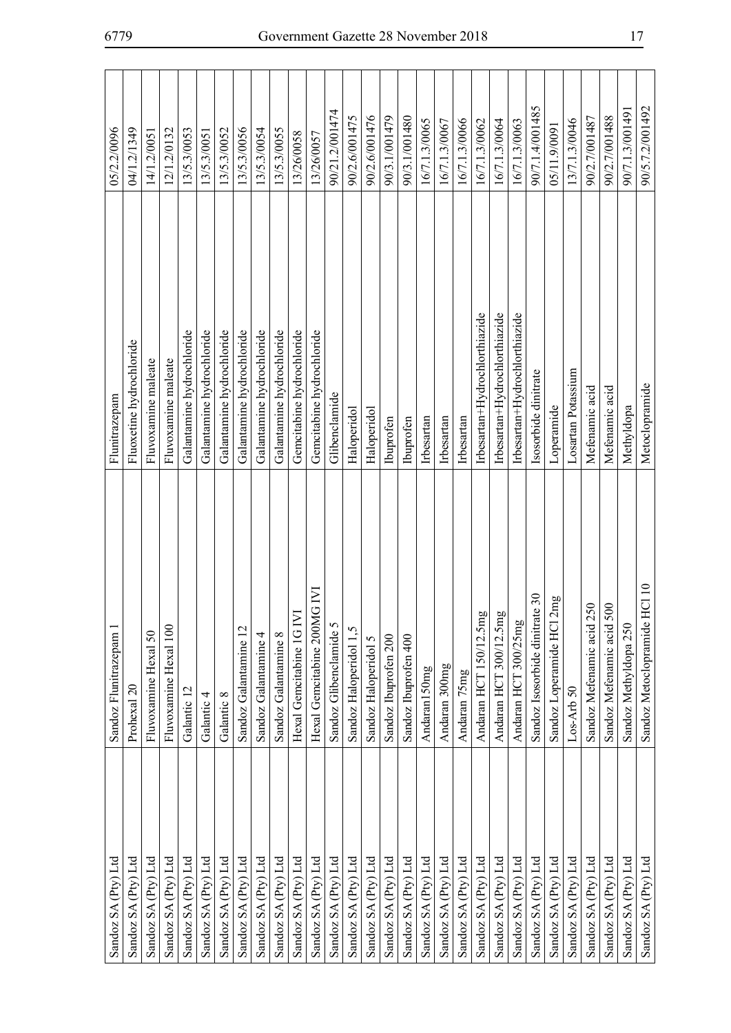| Sandoz SA (Pty) Ltd | Sandoz Flunitrazepam                       | Flunitrazepam                 | 05/2.2/0096     |
|---------------------|--------------------------------------------|-------------------------------|-----------------|
| Sandoz SA (Pty) Ltd | Prohexal 20                                | Fluoxetine hydrochloride      | 04/1.2/1349     |
| Sandoz SA (Pty) Ltd | Fluvoxamine Hexal 50                       | Fluvoxamine maleate           | 14/1.2/0051     |
| Sandoz SA (Pty) Ltd | Fluvoxamine Hexal 100                      | Fluvoxamine maleate           | 12/1.2/0132     |
| Sandoz SA (Pty) Ltd | Galantic 12                                | Galantamine hydrochloride     | 13/5.3/0053     |
| Sandoz SA (Pty) Ltd | Galantic 4                                 | Galantamine hydrochloride     | 13/5.3/0051     |
| Sandoz SA (Pty) Ltd | Galantic 8                                 | Galantamine hydrochloride     | 13/5.3/0052     |
| Sandoz SA (Pty) Ltd | Sandoz Galantamine 12                      | Galantamine hydrochloride     | 13/5.3/0056     |
| Sandoz SA (Pty) Ltd | Sandoz Galantamine 4                       | Galantamine hydrochloride     | 13/5.3/0054     |
| Sandoz SA (Pty) Ltd | Sandoz Galantamine 8                       | Galantamine hydrochloride     | 13/5.3/0055     |
| Sandoz SA (Pty) Ltd | Hexal Gemcitabine 1G IVI                   | Gemoitabine hydrochloride     | 13/26/0058      |
| Sandoz SA (Pty) Ltd | IG IVI<br>Hexal Gemcitabine 200M           | Gemoitabine hydrochloride     | 13/26/0057      |
| Sandoz SA (Pty) Ltd | Sandoz Glibenclamide 5                     | Glibenclamide                 | 90/21.2/001474  |
| Sandoz SA (Pty) Ltd | Ċ,<br>Sandoz Haloperidol                   | Haloperidol                   | 90/2.6/001475   |
| Sandoz SA (Pty) Ltd | Sandoz Haloperidol 5                       | Haloperidol                   | 90/2.6/001476   |
| Sandoz SA (Pty) Ltd | Sandoz Ibuprofen 200                       | Ibuprofen                     | 90/3.1/001479   |
| Sandoz SA (Pty) Ltd | Sandoz Ibuprofen 400                       | Ibuprofen                     | 90/3.1/001480   |
| Sandoz SA (Pty) Ltd | Andaran150mg                               | Irbesartan                    | 16/7.1.3/0065   |
| Sandoz SA (Pty) Ltd | Andaran 300mg                              | Irbesartan                    | 16/7.1.3/0067   |
| Sandoz SA (Pty) Ltd | Andaran 75mg                               | Irbesartan                    | 16/7.1.3/0066   |
| Sandoz SA (Pty) Ltd | Andaran HCT 150/12.5mg                     | Irbesartan+Hydrochlorthiazide | 16/7.1.3/0062   |
| Sandoz SA (Pty) Ltd | Andaran HCT 300/12.5mg                     | Irbesartan+Hydrochlorthiazide | 16/7.1.3/0064   |
| Sandoz SA (Pty) Ltd | Andaran HCT 300/25mg                       | Irbesartan+Hydrochlorthiazide | 16/7.1.3/0063   |
| Sandoz SA (Pty) Ltd | Sandoz Isosorbide dinitrate 30             | Isosorbide dinitrate          | 90/7.1.4/001485 |
| Sandoz SA (Pty) Ltd | 2mg<br>Sandoz Loperamide HCI               | Loperamide                    | 05/11.9/0091    |
| Sandoz SA (Pty) Ltd | $Loss-Arb50$                               | Losartan Potassium            | 13/7.1.3/0046   |
| Sandoz SA (Pty) Ltd | Sandoz Mefenamic acid 250                  | Mefenamic acid                | 90/2.7/001487   |
| Sandoz SA (Pty) Ltd | Sandoz Mefenamic acid 500                  | Mefenamic acid                | 90/2.7/001488   |
| Sandoz SA (Pty) Ltd | Sandoz Methyldopa 250                      | Methyldopa                    | 90/7.1.3/001491 |
| Sandoz SA (Pty) Ltd | HCI <sub>10</sub><br>Sandoz Metoclopramide | Metoclopramide                | 90/5.7.2/001492 |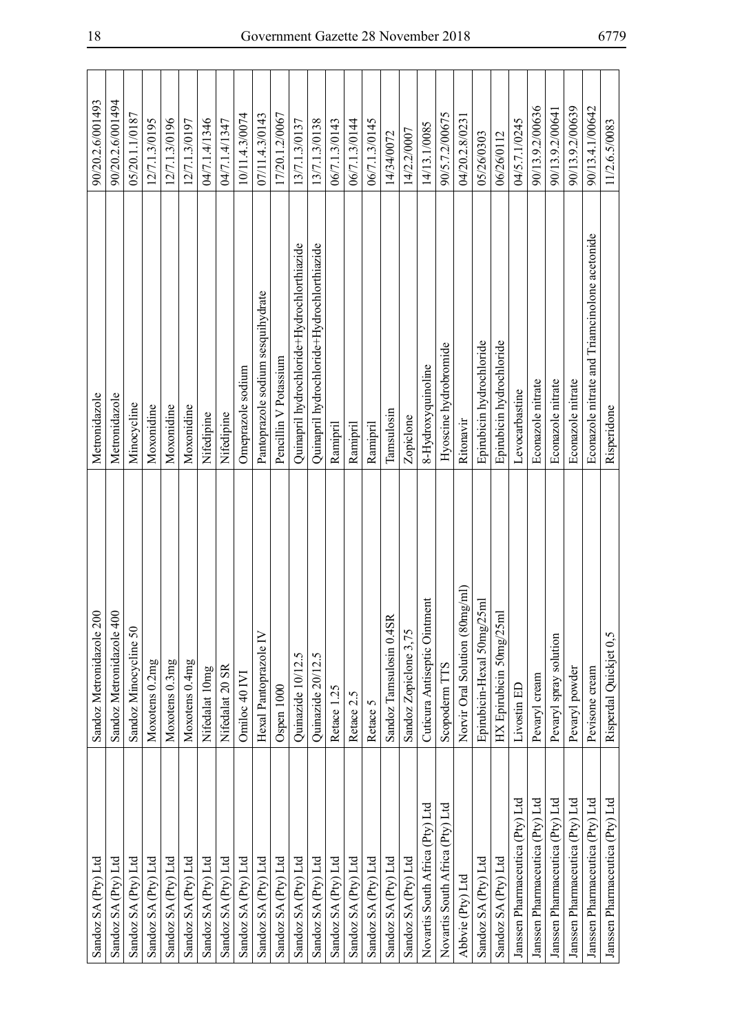| Sandoz SA (Pty) Ltd             | Sandoz Metronidazole 200               | Metronidazole                                 | 90/20.2.6/001493 |
|---------------------------------|----------------------------------------|-----------------------------------------------|------------------|
| Sandoz SA (Pty) Ltd             | Sandoz Metronidazole 40                | Metronidazole                                 | 90/20.2.6/001494 |
| Sandoz SA (Pty) Ltd             | Sandoz Minocycline 50                  | Minocycline                                   | 05/20.1.1/0187   |
| Sandoz SA (Pty) Ltd             | Moxotens 0.2mg                         | Moxonidine                                    | 12/7.1.3/0195    |
| Sandoz SA (Pty) Ltd             | Moxotens 0.3mg                         | Moxonidine                                    | 12/7.1.3/0196    |
| Sandoz SA (Pty) Ltd             | Moxotens 0.4mg                         | Moxonidine                                    | 12/7.1.3/0197    |
| Sandoz SA (Pty) Ltd             | Nifedalat 10mg                         | Nifedipine                                    | 04/7.1.4/1346    |
| Sandoz SA (Pty) Ltd             | Nifedalat 20 SR                        | Nifedipine                                    | 04/7.1.4/1347    |
| Sandoz SA (Pty) Ltd             | Omiloc 40 IVI                          | Omeprazole sodium                             | 10/11.4.3/0074   |
| Sandoz SA (Pty) Ltd             | Hexal Pantoprazole IV                  | Pantoprazole sodium sesquihydrate             | 07/11.4.3/0143   |
| Sandoz SA (Pty) Ltd             | Ospen 1000                             | Pencillin V Potassium                         | 17/20.1.2/0067   |
| Sandoz SA (Pty) Ltd             | Quinazide 10/12.5                      | Quinapril hydrochloride+Hydrochlorthiazide    | 13/7.1.3/0137    |
| Sandoz SA (Pty) Ltd             | Quinazide 20/12.5                      | Quinapril hydrochloride+Hydrochlorthiazide    | 13/7.1.3/0138    |
| Sandoz SA (Pty) Ltd             | Retace 1.25                            | Ramipril                                      | 06/7.1.3/0143    |
| Sandoz SA (Pty) Ltd             | Retace 2.5                             | Ramipril                                      | 06/7.1.3/0144    |
| Sandoz SA (Pty) Ltd             | Retace 5                               | Ramipril                                      | 06/7.1.3/0145    |
| Sandoz SA (Pty) Ltd             | Sandoz Tamsulosin 0.4SR                | Tamsulosin                                    | 14/34/0072       |
| Sandoz SA (Pty) Ltd             | Sandoz Zopiclone 3,75                  | Zopiclone                                     | 14/2.2/0007      |
| Novartis South Africa (Pty) Ltd | ent<br>Cuticura Antiseptic Ointm       | 8-Hydroxyquinoline                            | 14/13.1/0085     |
| Novartis South Africa (Pty) Ltd | Scopoderm TTS                          | Hyoscine hydrobromide                         | 90/5.7.2/00675   |
| Abbvie (Pty) Ltd                | $\log(m)$<br>Norvir Oral Solution (80m | Ritonavi                                      | 04/20.2.8/023    |
| Sandoz SA (Pty) Ltd             | Epirubicin-Hexal 50mg/25ml             | Epirubicin hydrochloride                      | 05/26/0303       |
| Sandoz SA (Pty) Ltd             | HX Epirubicin 50mg/25m                 | Epirubicin hydrochloride                      | 06/26/0112       |
| Janssen Pharmaceutica (Pty) Ltd | Livostin ED                            | Levocarbastine                                | 04/5.7.1/0245    |
| Janssen Pharmaceutica (Pty) Ltd | Pevaryl cream                          | Econazole nitrate                             | 90/13.9.2/00636  |
| Janssen Pharmaceutica (Pty) Ltd | Pevaryl spray solution                 | Econazole nitrate                             | 90/13.9.2/00641  |
| Janssen Pharmaceutica (Pty) Ltd | Pevaryl powder                         | Econazole nitrate                             | 90/13.9.2/00639  |
| Janssen Pharmaceutica (Pty) Ltd | Pevisone cream                         | Econazole nitrate and Triamcinolone acetonide | 90/13.4.1/00642  |
| Janssen Pharmaceutica (Pty) Ltd | Risperdal Quickjet 0,5                 | Risperidone                                   | 11/2.6.5/0083    |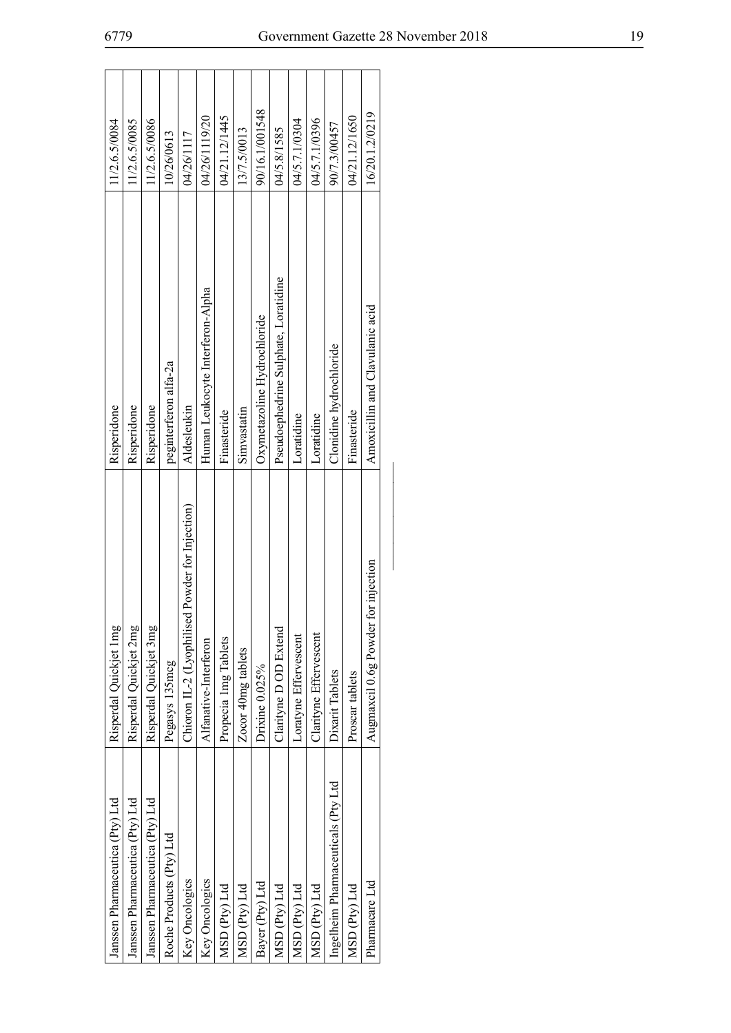| Janssen Pharmaceutica (Pty) Ltd    | Risperdal Quickjet 1mg                               | Risperidone                          | 11/2.6.5/0084  |
|------------------------------------|------------------------------------------------------|--------------------------------------|----------------|
| Janssen Pharmaceutica (Pty) Ltd    | Risperdal Quickjet 2mg                               | Risperidone                          | 11/2.6.5/0085  |
| Janssen Pharmaceutica (Pty) Ltd    | Risperdal Quickjet 3mg                               | Risperidone                          | 11/2.6.5/0086  |
| Roche Products (Pty) Ltd           | Pegasys 135mcg                                       | peginterferon alfa-2a                | 10/26/0613     |
| Key Oncologics                     | ed Powder for Injection)<br>Chioron IL-2 (Lyophilise | Aldesleukin                          | 04/26/1117     |
| Key Oncologics                     | Alfanative-Interferon                                | Human Leukocyte Interferon-Alpha     | 04/26/119/20   |
| MSD (Pty) Ltd                      | Propecia 1mg Tablets                                 | Finasteride                          | 04/21.12/1445  |
| MSD (Pty) Ltd                      | Zocor 40mg tablets                                   | Simvastatin                          | 13/7.5/0013    |
| Bayer (Pty) Ltd                    | Drixine 0.025%                                       | Oxymetazoline Hydrochloride          | 90/16.1/001548 |
| MSD (Pty) Ltd                      | Clarityne D OD Extend                                | Pseudoephedrine Sulphate, Loratidine | 04/5.8/1585    |
| MSD (Pty) Ltd                      | Loratyne Effervescent                                | Loratidine                           | 04/5.7.1/0304  |
| MSD (Pty) Ltd                      | Clarityne Effervescent                               | Loratidine                           | 04/5.7.1/0396  |
| Ingelheim Pharmaceuticals (Pty Ltd | Dixarit Tablets                                      | Clonidine hydrochloride              | 90/7.3/00457   |
| MSD (Pty) Ltd                      | Proscar tablets                                      | Finasteride                          | 04/21.12/1650  |
| Pharmacare Ltd                     | for injection<br>Augmaxcil 0.6g Powder               | Amoxicillin and Clavulanic acid      | 16/20.1.2/0219 |
|                                    |                                                      |                                      |                |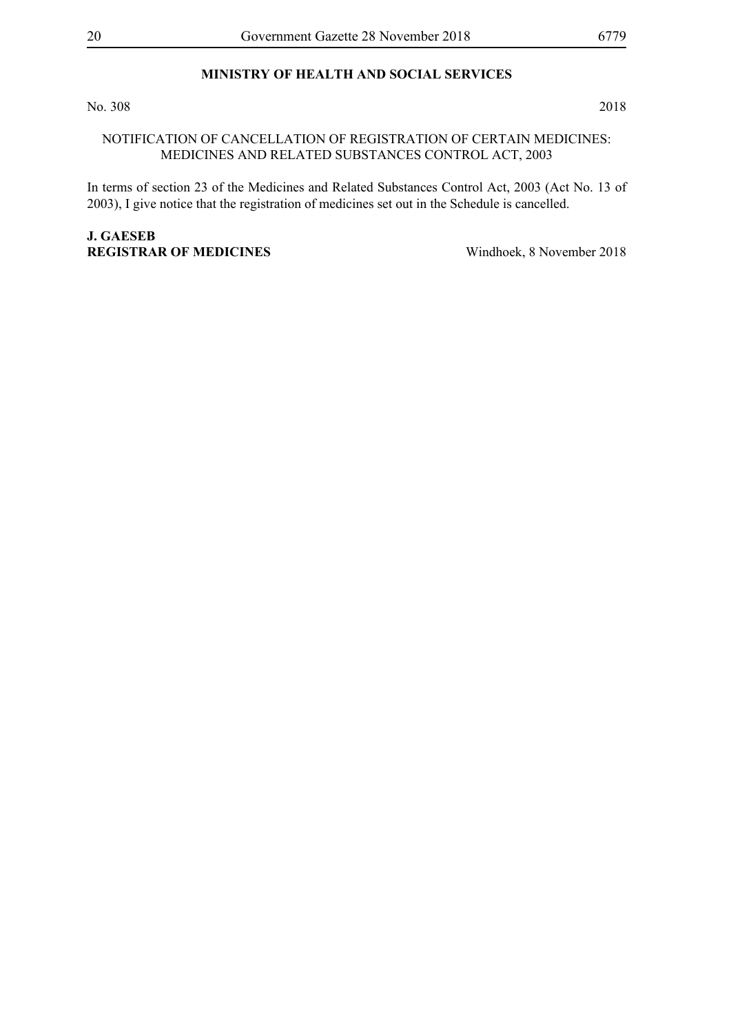# **MINISTRY OF HEALTH AND SOCIAL SERVICES**

No. 308 2018

#### NOTIFICATION OF CANCELLATION OF REGISTRATION OF CERTAIN MEDICINES: MEDICINES AND RELATED SUBSTANCES CONTROL ACT, 2003

In terms of section 23 of the Medicines and Related Substances Control Act, 2003 (Act No. 13 of 2003), I give notice that the registration of medicines set out in the Schedule is cancelled.

# **J. Gaeseb**

**Registrar of Medicines** Windhoek, 8 November 2018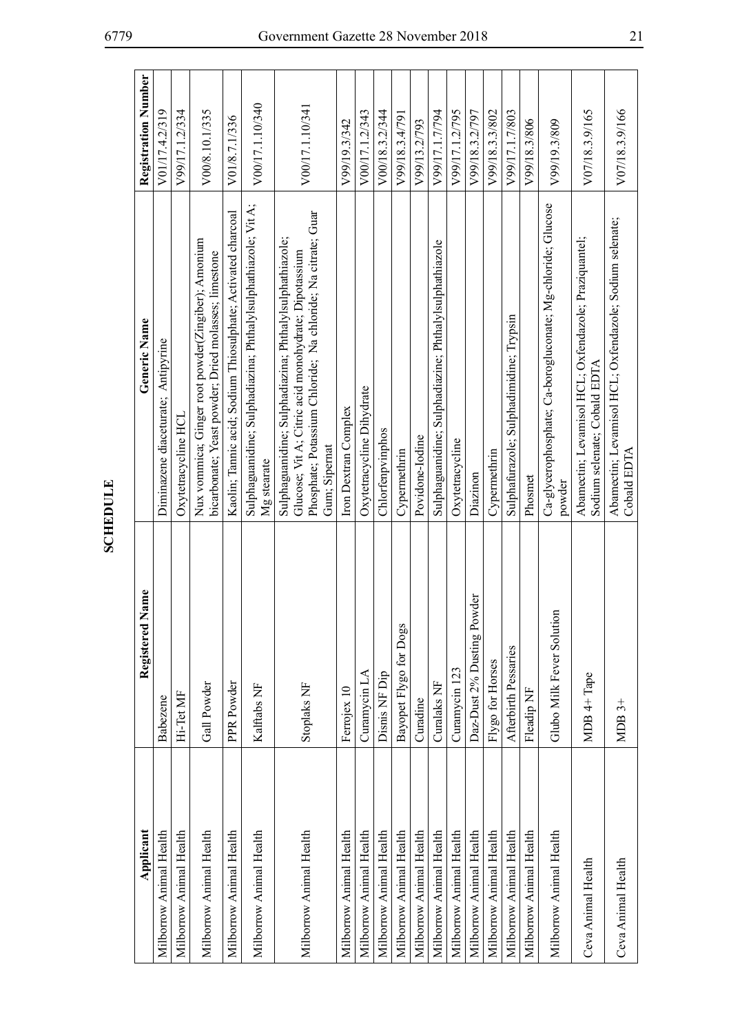| Applicant               | Registered Name            | Generic Name                                                                                                                                                                                     | <b>Registration Number</b> |
|-------------------------|----------------------------|--------------------------------------------------------------------------------------------------------------------------------------------------------------------------------------------------|----------------------------|
| Milborrow Animal Health | Babezene                   | Diminazene diaceturate; Antipyrine                                                                                                                                                               | V01/17.4.2/319             |
| Milborrow Animal Health | Hi-Tet MF                  | Oxytetracycline HCL                                                                                                                                                                              | V99/17.1.2/334             |
| Milborrow Animal Health | Gall Powder                | Nux vommica; Ginger root powder(Zingiber); Amonium<br>bicarbonate; Yeast powder; Dried molasses; limestone                                                                                       | V00/8.10.1/335             |
| Milborrow Animal Health | PPR Powder                 | Kaolin; Tannic acid; Sodium Thiosulphate; Activated charcoal                                                                                                                                     | V01/8.7.1/336              |
| Milborrow Animal Health | Kalftabs NF                | Sulphaguanidine; Sulphadiazina; Phthalylsulphathiazole; Vit A;<br>Mg stearate                                                                                                                    | V00/17.1.10/340            |
| Milborrow Animal Health | Stoplaks NF                | Phosphate; Potassium Chloride; Na chloride; Na citrate; Guar<br>Sulphaguanidine; Sulphadiazina; Phthalylsulphathiazole;<br>Glucose; Vit A; Citric acid monohydrate; Dipotassium<br>Gum; Sipernat | V00/17.1.10/341            |
| Milborrow Animal Health | Ferrojex 10                | Iron Dextran Complex                                                                                                                                                                             | V99/19.3/342               |
| Milborrow Animal Health | Curamycin LA               | Oxytetracycline Dihydrate                                                                                                                                                                        | V00/17.1.2/343             |
| Milborrow Animal Health | Disnis NF Dip              | Chlorfenpvinphos                                                                                                                                                                                 | V00/18.3.2/344             |
| Milborrow Animal Health | Bayopet Flygo for Dogs     | Cypermethrin                                                                                                                                                                                     | V99/18.3.4/791             |
| Milborrow Animal Health | Curadine                   | Povidone-Iodine                                                                                                                                                                                  | V99/13.2/793               |
| Milborrow Animal Health | Curalaks NF                | Sulphaguanidine; Sulphadiazine; Phthalylsulphathiazole                                                                                                                                           | V99/17.1.7/794             |
| Milborrow Animal Health | Curamycin 123              | Oxytetracycline                                                                                                                                                                                  | V99/17.1.2/795             |
| Milborrow Animal Health | Daz-Dust 2% Dusting Powder | Diazinon                                                                                                                                                                                         | V99/18.3.2/797             |
| Milborrow Animal Health | Flygo for Horses           | Cypermethrin                                                                                                                                                                                     | V99/18.3.3/802             |
| Milborrow Animal Health | Afterbirth Pessaries       | Sulphafurazole; Sulphadimidine; Trypsin                                                                                                                                                          | V99/17.1.7/803             |
| Milborrow Animal Health | Fleadip NF                 | Phosmet                                                                                                                                                                                          | V99/18.3/806               |
| Milborrow Animal Health | Glubo Milk Fever Solution  | Ca-glycerophosphate; Ca-borogluconate; Mg-chloride; Glucose<br>powder                                                                                                                            | V99/19.3/809               |
| Ceva Animal Health      | MDB 4+ Tape                | Abamectin; Levamisol HCL; Oxfendazole; Praziquantel;<br>Sodium selenate; Cobald EDTA                                                                                                             | V07/18.3.9/165             |
| Ceva Animal Health      | $MDB3+$                    | Abamectin; Levamisol HCL; Oxfendazole; Sodium selenate;<br>Cobald EDTA                                                                                                                           | V07/18.3.9/166             |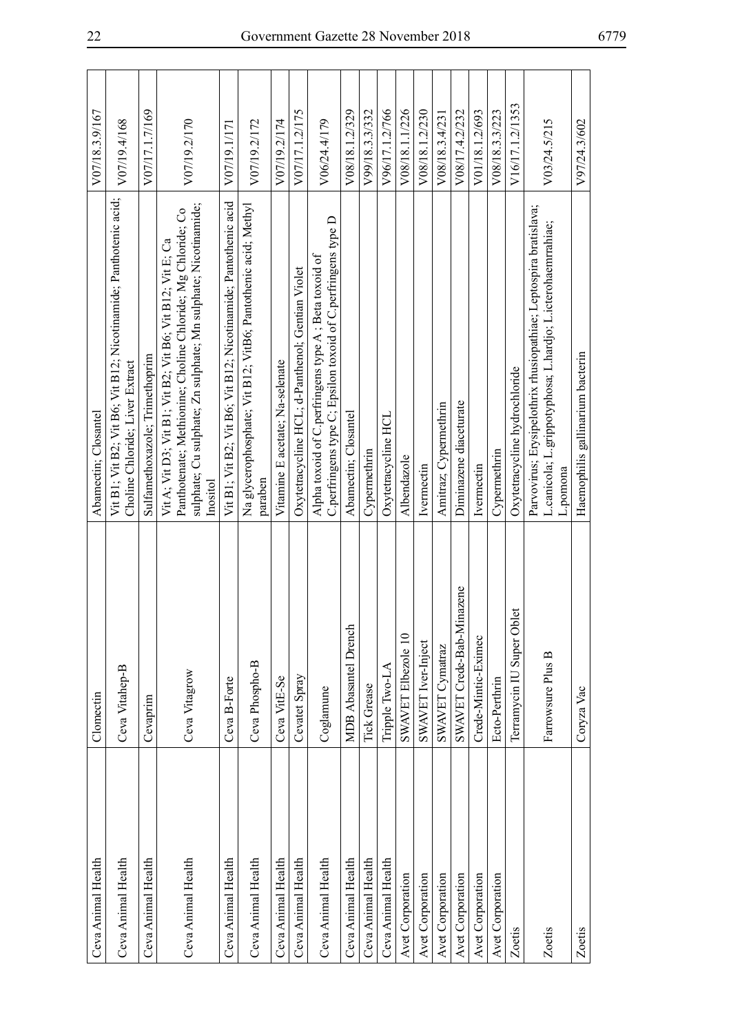| Ceva Animal Health      | Clomectin                            | Abamectin; Closantel                                                                                                                                                                                   | V07/18.3.9/167  |
|-------------------------|--------------------------------------|--------------------------------------------------------------------------------------------------------------------------------------------------------------------------------------------------------|-----------------|
| Ceva Animal Health      | Ceva Vitahep-B                       | Vit B1; Vit B2; Vit B6; Vit B12; Nicotinamide; Panthotenic acid;<br>Choline Chloride; Liver Extract                                                                                                    | V07/19.4/168    |
| Ceva Animal Health      | Cevaprim                             | Sulfamethoxazole; Trimethoprim                                                                                                                                                                         | V07/17.1.7/169  |
| Ceva Animal Health      | Ceva Vitagrow                        | sulphate; Cu sulphate; Zn sulphate; Mn sulphate; Nicotinamide;<br>Panthotenate; Methionine; Choline Chloride; Mg Chloride; Co<br>Vit A; Vit D3; Vit B1; Vit B2; Vit B6; Vit B12; Vit E; Ca<br>Inositol | V07/19.2/170    |
| Ceva Animal Health      | Ceva B-Forte                         | Vit B1; Vit B2; Vit B6; Vit B12; Nicotinamide; Pantothenic acid                                                                                                                                        | V07/19.1/171    |
| Ceva Animal Health      | Ceva Phospho-B                       | Na glycerophosphate; Vit B12; VitB6; Pantothenic acid; Methyl<br>paraben                                                                                                                               | V07/19.2/172    |
| Ceva Animal Health      | Ceva VitE-Se                         | Vitamine E acetate; Na-selenate                                                                                                                                                                        | V07/19.2/174    |
| Ceva Animal Health      | Cevatet Spray                        | Oxytetracycline HCL; d-Panthenol; Gentian Violet                                                                                                                                                       | V07/17.1.2/175  |
| Ceva Animal Health      | Coglamune                            | C.perfringens type C; Epsilon toxoid of C.perfringens type D<br>Alpha toxoid of C.perfringens type A; Beta toxoid of                                                                                   | V06/24.4/179    |
| Ceva Animal Health      | <b>MDB</b> Abasantel Drench          | Abamectin; Closantel                                                                                                                                                                                   | V08/18.1.2/329  |
| Ceva Animal Health      | <b>Tick Grease</b>                   | Cypermethrin                                                                                                                                                                                           | V99/18.3.3/332  |
| Ceva Animal Health      | Tripple Two-LA                       | Oxytetracycline HCL                                                                                                                                                                                    | V96/17.1.2/766  |
| Avet Corporation        | SWAVET Elbezole 10                   | Albendazole                                                                                                                                                                                            | V08/18.1.1/226  |
| Avet Corporation        | SWAVET Iver-Inject                   | Ivermectin                                                                                                                                                                                             | V08/18.1.2/230  |
| <b>Avet Corporation</b> | SWAVET Cymatraz                      | Amitraz; Cypermethrin                                                                                                                                                                                  | V08/18.3.4/231  |
| Avet Corporation        | nazene<br>SWAVET Crede-Bab-Mir       | Diminazene diaceturate                                                                                                                                                                                 | V08/17.4.2/232  |
| Avet Corporation        | Crede-Mintic-Eximec                  | Ivermectin                                                                                                                                                                                             | V01/18.1.2/693  |
| <b>Avet Corporation</b> | Ecto-Perthrin                        | Cypermethrin                                                                                                                                                                                           | V08/18.3.3/223  |
| Zoetis                  | $\vec{e}$<br>Terramycin IU Super Obl | Oxytetracycline hydrochloride                                                                                                                                                                          | V16/17.1.2/1353 |
| Zoetis                  | Farrowsure Plus B                    | Parvovirus; Erysipelothrix rhusiopathiae; Leptospira bratislava;<br>L.canicola; L.grippotyphosa; L.hardjo; L.icterohaemrrahiae;<br>L.pomona                                                            | V03/24.5/215    |
| Zoetis                  | Coryza Vac                           | Haemophilis gallinarium bacterin                                                                                                                                                                       | V97/24.3/602    |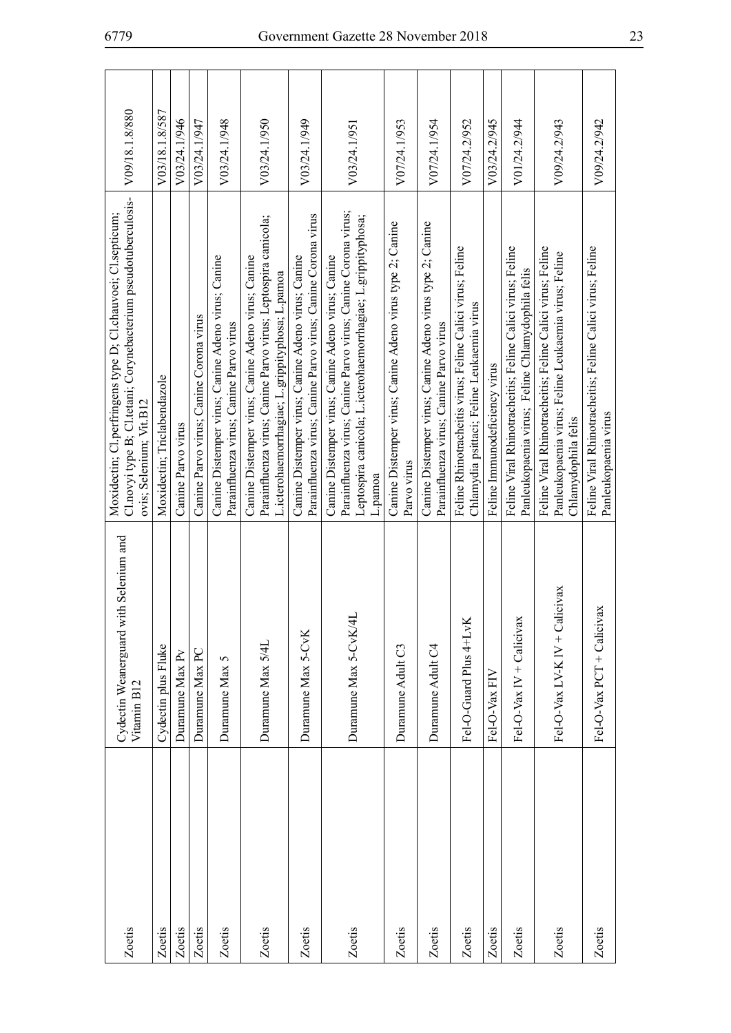| Zoetis | Cydectin Weanerguard with Selenium and<br>Vitamin B <sub>12</sub> | Cl.novyi type B; Cl.tetani; Corynebacterium pseudotuberculosis-<br>Moxidectin; Cl.perfringens type D; Cl.chauvoei; Cl.septicum;<br>ovis; Selenium; Vit.B12                                     | V09/18.1.8/880 |
|--------|-------------------------------------------------------------------|------------------------------------------------------------------------------------------------------------------------------------------------------------------------------------------------|----------------|
| Zoetis | Cydectin plus Fluke                                               | Moxidectin; Triclabendazole                                                                                                                                                                    | V03/18.1.8/587 |
| Zoetis | Duramune Max Pv                                                   | Canine Parvo virus                                                                                                                                                                             | V03/24.1/946   |
| Zoetis | Duramune Max PC                                                   | Canine Parvo virus; Canine Corona virus                                                                                                                                                        | V03/24.1/947   |
| Zoetis | Duramune Max 5                                                    | Canine Distemper virus; Canine Adeno virus; Canine<br>Parainfluenza virus; Canine Parvo virus                                                                                                  | V03/24.1/948   |
| Zoetis | Duramune Max 5/4L                                                 | Parainfluenza virus; Canine Parvo virus; Leptospira canicola;<br>Canine Distemper virus; Canine Adeno virus; Canine<br>L.icterohaemorrhagiae; L.grippityphosa; L.pamoa                         | V03/24.1/950   |
| Zoetis | Duramune Max 5-CvK                                                | Parainfluenza virus; Canine Parvo virus; Canine Corona virus<br>Canine Distemper virus; Canine Adeno virus; Canine                                                                             | V03/24.1/949   |
| Zoetis | Duramune Max 5-CvK/4L                                             | Parainfluenza virus; Canine Parvo virus; Canine Corona virus;<br>Leptospira canicola; L.icterohaemorrhagiae; L.grippityphosa;<br>Canine Distemper virus; Canine Adeno virus; Canine<br>L.pamoa | V03/24.1/951   |
| Zoetis | Duramune Adult C3                                                 | Canine Distemper virus; Canine Adeno virus type 2; Canine<br>Parvo virus                                                                                                                       | V07/24.1/953   |
| Zoetis | Duramune Adult C4                                                 | Canine Distemper virus; Canine Adeno virus type 2; Canine<br>Parainfluenza virus; Canine Parvo virus                                                                                           | V07/24.1/954   |
| Zoetis | Fel-O-Guard Plus 4+LvK                                            | Feline Rhinotracheitis virus; Feline Calici virus; Feline<br>Chlamydia psittaci; Feline Leukaemia virus                                                                                        | V07/24.2/952   |
| Zoetis | Fel-O-Vax FIV                                                     | Feline Immunodeficiency virus                                                                                                                                                                  | V03/24.2/945   |
| Zoetis | Fel-O-Vax IV + Calicivax                                          | Feline Viral Rhinotracheitis; Feline Calici virus; Feline<br>Panleukopaenia virus; Feline Chlamydophila felis                                                                                  | V01/24.2/944   |
| Zoetis | Fel-O-Vax LV-K IV + Calicivax                                     | Feline Viral Rhinotracheitis; Feline Calici virus; Feline<br>Panleukopaenia virus; Feline Leukaemia virus; Feline<br>Chlamydophila felis                                                       | V09/24.2/943   |
| Zoetis | Fel-O-Vax PCT + Calicivax                                         | Feline Viral Rhinotracheitis; Feline Calici virus; Feline<br>Panleukopaenia virus                                                                                                              | V09/24.2/942   |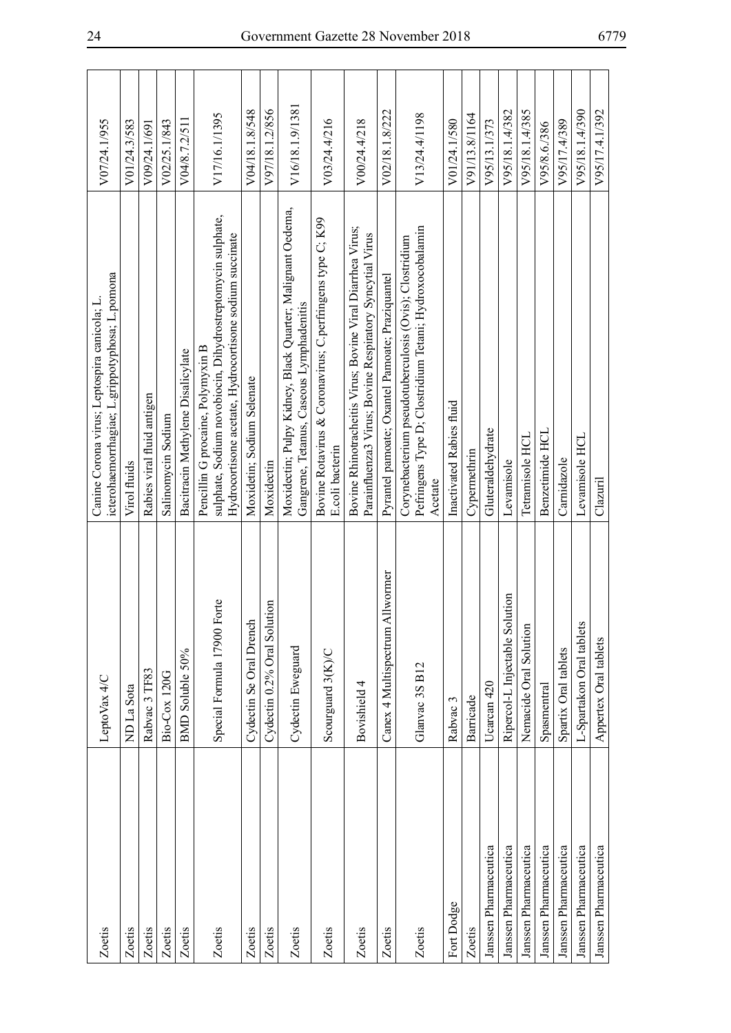| Zoetis                | LeptoVax 4/C                        | icterohaemorrhagiae; L. grippotyphosa; L. pomona<br>Canine Corona virus; Leptospira canicola; L.                                                           | V07/24.1/955    |
|-----------------------|-------------------------------------|------------------------------------------------------------------------------------------------------------------------------------------------------------|-----------------|
| Zoetis                | ND La Sota                          | Virol fluids                                                                                                                                               | V01/24.3/583    |
| Zoetis                | Rabvac 3 TF83                       | Rabies viral fluid antigen                                                                                                                                 | V09/24.1/691    |
| Zoetis                | Bio-Cox 120G                        | Salinomycin Sodium                                                                                                                                         | V02/25.1/843    |
| Zoetis                | BMD Soluble 50%                     | Bacitracin Methylene Disalicylate                                                                                                                          | V04/8.7.2/511   |
| Zoetis                | Special Formula 17900 Forte         | sulphate, Sodium novobiocin, Dihydrostreptomycin sulphate,<br>Hydrocortisone acetate, Hydrocortisone sodium succinate<br>Pencillin G procaine, Polymyxin B | V17/16.1/1395   |
| Zoetis                | Cydectin Se Oral Drench             | Moxidetin; Sodium Selenate                                                                                                                                 | V04/18.1.8/548  |
| Zoetis                | Cydectin 0.2% Oral Solution         | Moxidectin                                                                                                                                                 | V97/18.1.2/856  |
| Zoetis                | Cydectin Eweguard                   | Moxidectin; Pulpy Kidney, Black Quarter; Malignant Oedema,<br>Gangrene, Tetanus, Caseous Lymphadenitis                                                     | V16/18.1.9/1381 |
| Zoetis                | Scourguard 3(K)/C                   | Bovine Rotavirus & Coronavirus; C.perfringens type C; K99<br>E.coli bacterin                                                                               | V03/24.4/216    |
| Zoetis                | Bovishield 4                        | Bovine Rhinotracheitis Virus; Bovine Viral Diarrhea Virus;<br>Parainfluenza3 Virus; Bovine Respiratory Syncytial Virus                                     | V00/24.4/218    |
| Zoetis                | Iwormer<br>Canex 4 Multispectrum Al | Pyrantel pamoate; Oxantel Pamoate; Praziquantel                                                                                                            | V02/18.1.8/222  |
| Zoetis                | Glanvac 3S B12                      | Pefringens Type D; Clostridium Tetani; Hydroxocobalamin<br>Corynebacterium pseudotuberculosis (Ovis); Clostridium<br>Acetate                               | V13/24.4/1198   |
| Fort Dodge            | Rabvac 3                            | Inactivated Rabies fluid                                                                                                                                   | V01/24.1/580    |
| Zoetis                | Barricade                           | Cypermethrin                                                                                                                                               | V91/13.8/1164   |
| Janssen Pharmaceutica | Ucarcan 420                         | Gluteraldehydrate                                                                                                                                          | V95/13.1/373    |
| Janssen Pharmaceutica | Ripercol-L Injectable Solution      | Levamisole                                                                                                                                                 | V95/18.1.4/382  |
| Janssen Pharmaceutica | Nemacide Oral Solution              | Tetramisole HCL                                                                                                                                            | V95/18.1.4/385  |
| Janssen Pharmaceutica | Spasmentral                         | Benzetimide HCL                                                                                                                                            | V95/8.6./386    |
| Janssen Pharmaceutica | Spartix Oral tablets                | Carnidazole                                                                                                                                                | V95/17.4/389    |
| Janssen Pharmaceutica | L-Spartakon Oral tablets            | Levamisole HCL                                                                                                                                             | V95/18.1.4/390  |
| Janssen Pharmaceutica | Appertex Oral tablets               | Clazuril                                                                                                                                                   | V95/17.4.1/392  |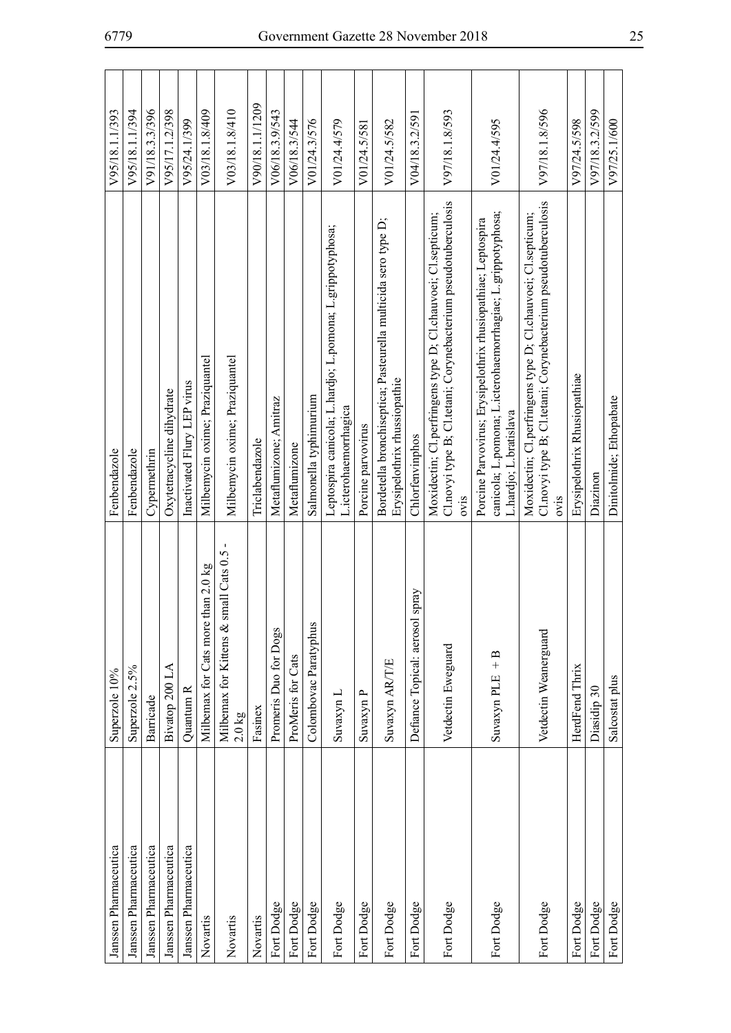| Janssen Pharmaceutica | Superzole 10%                                     | Fenbendazole                                                                                                                                          | V95/18.1.1/393  |
|-----------------------|---------------------------------------------------|-------------------------------------------------------------------------------------------------------------------------------------------------------|-----------------|
| Janssen Pharmaceutica | Superzole 2.5%                                    | Fenbendazole                                                                                                                                          | V95/18.1.1/394  |
| Janssen Pharmaceutica | <b>Barricade</b>                                  | Cypermethrin                                                                                                                                          | V91/18.3.3/396  |
| Janssen Pharmaceutica | Bivatop 200 LA                                    | Oxytetracycline dihydrate                                                                                                                             | V95/17.1.2/398  |
| Janssen Pharmaceutica | Quantum R                                         | Inactivated Flury LEP virus                                                                                                                           | V95/24.1/399    |
| Novartis              | than $2.0$ kg<br>Milbemax for Cats more           | Milbemycin oxime; Praziquantel                                                                                                                        | V03/18.1.8/409  |
| Novartis              | Milbemax for Kittens & small Cats 0.5<br>$2.0$ kg | Milbemycin oxime; Praziquantel                                                                                                                        | V03/18.1.8/410  |
| Novartis              | Fasinex                                           | Triclabendazole                                                                                                                                       | V90/18.1.1/1209 |
| Fort Dodge            | Promeris Duo for Dogs                             | Metaflumizone; Amitraz                                                                                                                                | V06/18.3.9/543  |
| Fort Dodge            | ProMeris for Cats                                 | Metaflumizone                                                                                                                                         | V06/18.3/544    |
| Fort Dodge            | Colombovac Paratyphus                             | Salmonella typhimurium                                                                                                                                | V01/24.3/576    |
| Fort Dodge            | Suvaxyn L                                         | Leptospira canicola; L.hardjo; L.pomona; L.grippotyphosa;<br>L.icterohaemorrhagica                                                                    | V01/24.4/579    |
| Fort Dodge            | Suvaxyn P                                         | Porcine parvovirus                                                                                                                                    | V01/24.5/581    |
| Fort Dodge            | Suvaxyn AR/T/E                                    | Bordetella bronchiseptica; Pasteurella multicida sero type D;<br>Erysipelothrix rhussiopathie                                                         | V01/24.5/582    |
| Fort Dodge            | spray<br>Defiance Topical: aerosol                | Chlorfenvinphos                                                                                                                                       | V04/18.3.2/591  |
| Fort Dodge            | Vetdectin Eweguard                                | Cl.novyi type B; Cl.tetani; Corynebacterium pseudotuberculosis<br>Moxidectin; Cl.perfringens type D; Cl.chauvoei; Cl.septicum;<br>ovis                | V97/18.1.8/593  |
| Fort Dodge            | Suvaxyn PLE $+ B$                                 | canicola; L.pomona; L.icterohaemorrhagiae; L.grippotyphosa;<br>Porcine Parvovirus; Erysipelothrix rhusiopathiae; Leptospira<br>L.hardjo; L.bratislava | V01/24.4/595    |
| Fort Dodge            | Vetdectin Weanerguard                             | Cl.novyi type B; Cl.tetani; Corynebacterium pseudotuberculosis<br>Moxidectin; Cl.perfringens type D; Cl.chauvoei; Cl.septicum;<br>ovis                | V97/18.1.8/596  |
| Fort Dodge            | HerdFend Thrix                                    | Erysipelothrix Rhusiopathiae                                                                                                                          | V97/24.5/598    |
| Fort Dodge            | Diasidip 30                                       | Diazinon                                                                                                                                              | V97/18.3.2/599  |
| Fort Dodge            | Salcostat plus                                    | Dinitolmide; Ethopabate                                                                                                                               | V97/25.1/600    |
|                       |                                                   |                                                                                                                                                       |                 |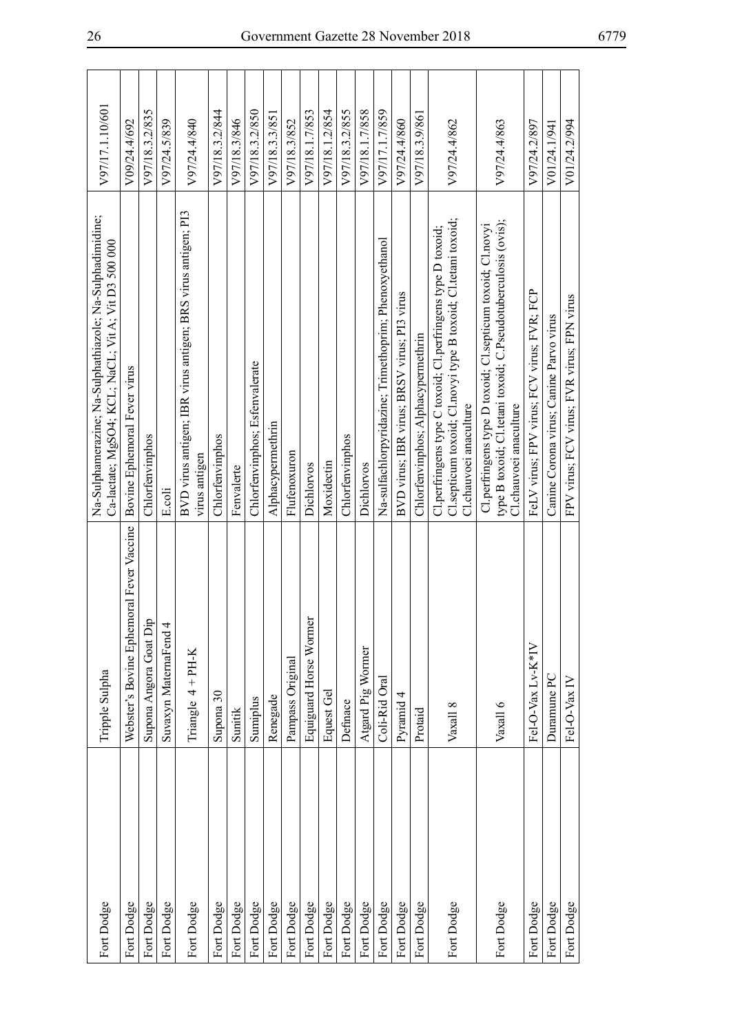| Fort Dodge | Tripple Sulpha                           | Na-Sulphamerazine; Na-Sulphathiazole; Na-Sulphadimidine;<br>Ca-lactate; MgSO4; KCL; NaCL; Vit A; Vit D3 500 000                                        | V97/17.1.10/601 |
|------------|------------------------------------------|--------------------------------------------------------------------------------------------------------------------------------------------------------|-----------------|
| Fort Dodge | Webster's Bovine Ephemoral Fever Vaccine | Bovine Ephemoral Fever virus                                                                                                                           | V09/24.4/692    |
| Fort Dodge | Supona Angora Goat Dip                   | Chlorfenvinphos                                                                                                                                        | V97/18.3.2/835  |
| Fort Dodge | Suvaxyn MaternaFend 4                    | E.coli                                                                                                                                                 | V97/24.5/839    |
| Fort Dodge | Triangle $4 + PH-K$                      | BVD virus antigen; IBR virus antigen; BRS virus antigen; PI3<br>virus antigen                                                                          | V97/24.4/840    |
| Fort Dodge | Supona 30                                | Chlorfenvinphos                                                                                                                                        | V97/18.3.2/844  |
| Fort Dodge | Sunitik                                  | Fenvalerte                                                                                                                                             | V97/18.3/846    |
| Fort Dodge | Sumiplus                                 | Chlorfenvinphos; Esfenvalerate                                                                                                                         | V97/18.3.2/850  |
| Fort Dodge | Renegade                                 | Alphacypermethrin                                                                                                                                      | V97/18.3.3/851  |
| Fort Dodge | Pampass Original                         | Flufenoxuron                                                                                                                                           | V97/18.3/852    |
| Fort Dodge | Equiguard Horse Wormer                   | Dichlorvos                                                                                                                                             | V97/18.1.7/853  |
| Fort Dodge | Equest Gel                               | Moxidectin                                                                                                                                             | V97/18.1.2/854  |
| Fort Dodge | Definace                                 | Chlorfenvinphos                                                                                                                                        | V97/18.3.2/855  |
| Fort Dodge | Atgard Pig Wormer                        | Dichlorvos                                                                                                                                             | V97/18.1.7/858  |
| Fort Dodge | Coli-Rid Oral                            | Na-sulfachlorpyridazine; Trimethoprim; Phenoxyethanol                                                                                                  | V97/17.1.7/859  |
| Fort Dodge | Pyramid 4                                | BVD virus; IBR virus; BRSV virus; PI3 virus                                                                                                            | V97/24.4/860    |
| Fort Dodge | Protaid                                  | Chlorfenvinphos; Alphacypermethrin                                                                                                                     | V97/18.3.9/861  |
| Fort Dodge | Vaxall 8                                 | Cl.septicum toxoid; Cl.novyi type B toxoid; Cl.tetani toxoid;<br>Cl.perfringens type C toxoid; Cl.perfringens type D toxoid;<br>Cl.chauvoei anaculture | V97/24.4/862    |
| Fort Dodge | Vaxall 6                                 | type B toxoid; Cl.tetani toxoid; C.Pseudotuberculosis (ovis);<br>Cl.perfringens type D toxoid; Cl.septicum toxoid; Cl.novyi<br>Cl.chauvoei anaculture  | V97/24.4/863    |
| Fort Dodge | Fel-O-Vax Lv-K*IV                        | FeLV virus; FPV virus; FCV virus; FVR; FCP                                                                                                             | V97/24.2/897    |
| Fort Dodge | Duramune PC                              | Canine Corona virus; Canine Parvo virus                                                                                                                | V01/24.1/941    |
| Fort Dodge | Fel-O-Vax IV                             | FPV virus; FCV virus; FVR virus; FPN virus                                                                                                             | V01/24.2/994    |